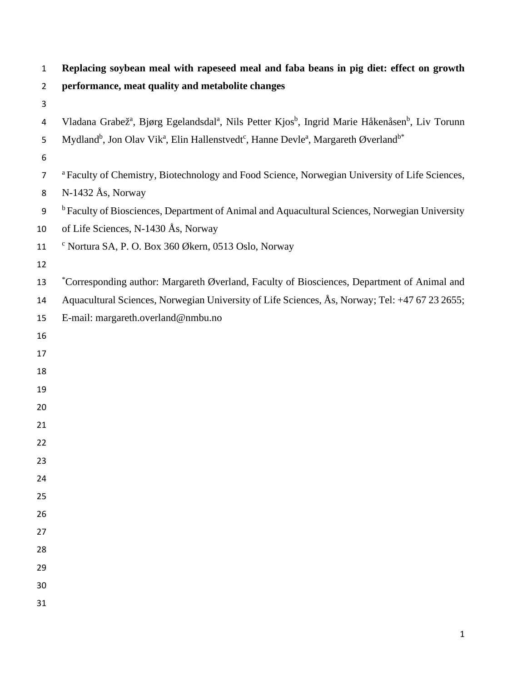| $\mathbf{1}$     | Replacing soybean meal with rapeseed meal and faba beans in pig diet: effect on growth                                                          |
|------------------|-------------------------------------------------------------------------------------------------------------------------------------------------|
| $\overline{2}$   | performance, meat quality and metabolite changes                                                                                                |
| 3                |                                                                                                                                                 |
| 4                | Vladana Grabež <sup>a</sup> , Bjørg Egelandsdal <sup>a</sup> , Nils Petter Kjos <sup>b</sup> , Ingrid Marie Håkenåsen <sup>b</sup> , Liv Torunn |
| 5                | Mydland <sup>b</sup> , Jon Olav Vik <sup>a</sup> , Elin Hallenstvedt <sup>c</sup> , Hanne Devle <sup>a</sup> , Margareth Øverland <sup>b*</sup> |
| 6                |                                                                                                                                                 |
| $\overline{7}$   | <sup>a</sup> Faculty of Chemistry, Biotechnology and Food Science, Norwegian University of Life Sciences,                                       |
| 8                | $N-1432$ Ås, Norway                                                                                                                             |
| $\boldsymbol{9}$ | <sup>b</sup> Faculty of Biosciences, Department of Animal and Aquacultural Sciences, Norwegian University                                       |
| 10               | of Life Sciences, N-1430 Ås, Norway                                                                                                             |
| 11               | <sup>c</sup> Nortura SA, P. O. Box 360 Økern, 0513 Oslo, Norway                                                                                 |
| 12               |                                                                                                                                                 |
| 13               | *Corresponding author: Margareth Øverland, Faculty of Biosciences, Department of Animal and                                                     |
| 14               | Aquacultural Sciences, Norwegian University of Life Sciences, Ås, Norway; Tel: +47 67 23 2655;                                                  |
| 15               | E-mail: margareth.overland@nmbu.no                                                                                                              |
| 16               |                                                                                                                                                 |
| 17               |                                                                                                                                                 |
| 18               |                                                                                                                                                 |
| 19               |                                                                                                                                                 |
| 20               |                                                                                                                                                 |
| 21               |                                                                                                                                                 |
| 22               |                                                                                                                                                 |
| 23               |                                                                                                                                                 |
| 24               |                                                                                                                                                 |
| 25               |                                                                                                                                                 |
| 26               |                                                                                                                                                 |
| 27               |                                                                                                                                                 |
| 28               |                                                                                                                                                 |
| 29               |                                                                                                                                                 |
| 30               |                                                                                                                                                 |
| 31               |                                                                                                                                                 |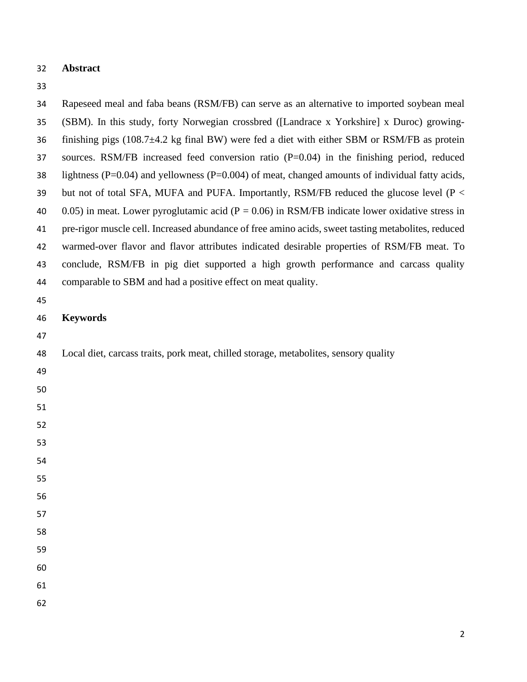## **Abstract**

| 34 | Rapeseed meal and faba beans (RSM/FB) can serve as an alternative to imported soybean meal                |
|----|-----------------------------------------------------------------------------------------------------------|
| 35 | (SBM). In this study, forty Norwegian crossbred ([Landrace x Yorkshire] x Duroc) growing-                 |
| 36 | finishing pigs $(108.7 \pm 4.2 \text{ kg}$ final BW) were fed a diet with either SBM or RSM/FB as protein |
| 37 | sources. RSM/FB increased feed conversion ratio $(P=0.04)$ in the finishing period, reduced               |
| 38 | lightness ( $P=0.04$ ) and yellowness ( $P=0.004$ ) of meat, changed amounts of individual fatty acids,   |
| 39 | but not of total SFA, MUFA and PUFA. Importantly, RSM/FB reduced the glucose level (P <                   |
| 40 | 0.05) in meat. Lower pyroglutamic acid ( $P = 0.06$ ) in RSM/FB indicate lower oxidative stress in        |
| 41 | pre-rigor muscle cell. Increased abundance of free amino acids, sweet tasting metabolites, reduced        |
| 42 | warmed-over flavor and flavor attributes indicated desirable properties of RSM/FB meat. To                |
| 43 | conclude, RSM/FB in pig diet supported a high growth performance and carcass quality                      |
| 44 | comparable to SBM and had a positive effect on meat quality.                                              |
| 45 |                                                                                                           |
| 46 | <b>Keywords</b>                                                                                           |
| 47 |                                                                                                           |
| 48 | Local diet, carcass traits, pork meat, chilled storage, metabolites, sensory quality                      |
| 49 |                                                                                                           |
| 50 |                                                                                                           |
| 51 |                                                                                                           |
| 52 |                                                                                                           |
| 53 |                                                                                                           |
| 54 |                                                                                                           |
| 55 |                                                                                                           |
| 56 |                                                                                                           |
| 57 |                                                                                                           |
| 58 |                                                                                                           |
| 59 |                                                                                                           |
| 60 |                                                                                                           |
| 61 |                                                                                                           |
| 62 |                                                                                                           |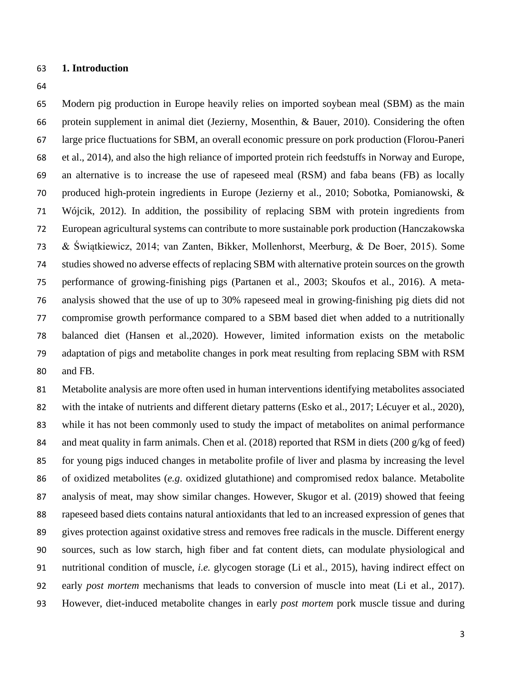#### **1. Introduction**

 Modern pig production in Europe heavily relies on imported soybean meal (SBM) as the main protein supplement in animal diet (Jezierny, Mosenthin, & Bauer, 2010). Considering the often large price fluctuations for SBM, an overall economic pressure on pork production (Florou-Paneri et al., 2014), and also the high reliance of imported protein rich feedstuffs in Norway and Europe, an alternative is to increase the use of rapeseed meal (RSM) and faba beans (FB) as locally produced high-protein ingredients in Europe (Jezierny et al., 2010; Sobotka, Pomianowski, & Wójcik, 2012). In addition, the possibility of replacing SBM with protein ingredients from European agricultural systems can contribute to more sustainable pork production (Hanczakowska & Świątkiewicz, 2014; van Zanten, Bikker, Mollenhorst, Meerburg, & De Boer, 2015). Some studies showed no adverse effects of replacing SBM with alternative protein sources on the growth performance of growing-finishing pigs (Partanen et al., 2003; Skoufos et al., 2016). A meta- analysis showed that the use of up to 30% rapeseed meal in growing-finishing pig diets did not compromise growth performance compared to a SBM based diet when added to a nutritionally balanced diet (Hansen et al.,2020). However, limited information exists on the metabolic adaptation of pigs and metabolite changes in pork meat resulting from replacing SBM with RSM and FB.

 Metabolite analysis are more often used in human interventions identifying metabolites associated 82 with the intake of nutrients and different dietary patterns (Esko et al., 2017; Lécuyer et al., 2020), while it has not been commonly used to study the impact of metabolites on animal performance 84 and meat quality in farm animals. Chen et al. (2018) reported that RSM in diets (200 g/kg of feed) for young pigs induced changes in metabolite profile of liver and plasma by increasing the level of oxidized metabolites (*e.g*. oxidized glutathione) and compromised redox balance. Metabolite analysis of meat, may show similar changes. However, Skugor et al. (2019) showed that feeing rapeseed based diets contains natural antioxidants that led to an increased expression of genes that gives protection against oxidative stress and removes free radicals in the muscle. Different energy sources, such as low starch, high fiber and fat content diets, can modulate physiological and nutritional condition of muscle, *i.e.* glycogen storage (Li et al., 2015), having indirect effect on early *post mortem* mechanisms that leads to conversion of muscle into meat (Li et al., 2017). However, diet-induced metabolite changes in early *post mortem* pork muscle tissue and during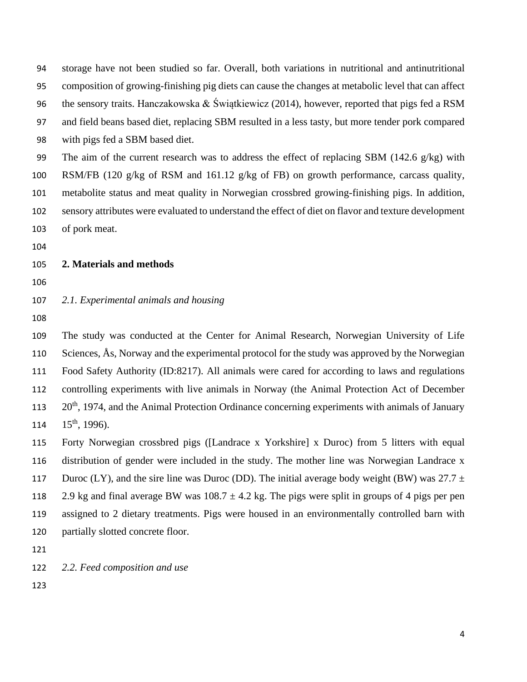storage have not been studied so far. Overall, both variations in nutritional and antinutritional composition of growing-finishing pig diets can cause the changes at metabolic level that can affect 96 the sensory traits. Hanczakowska & Świątkiewicz (2014), however, reported that pigs fed a RSM and field beans based diet, replacing SBM resulted in a less tasty, but more tender pork compared with pigs fed a SBM based diet. The aim of the current research was to address the effect of replacing SBM (142.6 g/kg) with

 RSM/FB (120 g/kg of RSM and 161.12 g/kg of FB) on growth performance, carcass quality, metabolite status and meat quality in Norwegian crossbred growing-finishing pigs. In addition, sensory attributes were evaluated to understand the effect of diet on flavor and texture development of pork meat.

#### **2. Materials and methods**

### *2.1. Experimental animals and housing*

 The study was conducted at the Center for Animal Research, Norwegian University of Life 110 Sciences,  $\AA$ s, Norway and the experimental protocol for the study was approved by the Norwegian Food Safety Authority (ID:8217). All animals were cared for according to laws and regulations controlling experiments with live animals in Norway (the Animal Protection Act of December 20<sup>th</sup>, 1974, and the Animal Protection Ordinance concerning experiments with animals of January  $15^{th}$ , 1996).

 Forty Norwegian crossbred pigs ([Landrace x Yorkshire] x Duroc) from 5 litters with equal distribution of gender were included in the study. The mother line was Norwegian Landrace x 117 Duroc (LY), and the sire line was Duroc (DD). The initial average body weight (BW) was  $27.7 \pm 10^{-10}$ 118 2.9 kg and final average BW was  $108.7 \pm 4.2$  kg. The pigs were split in groups of 4 pigs per pen assigned to 2 dietary treatments. Pigs were housed in an environmentally controlled barn with partially slotted concrete floor.

*2.2. Feed composition and use*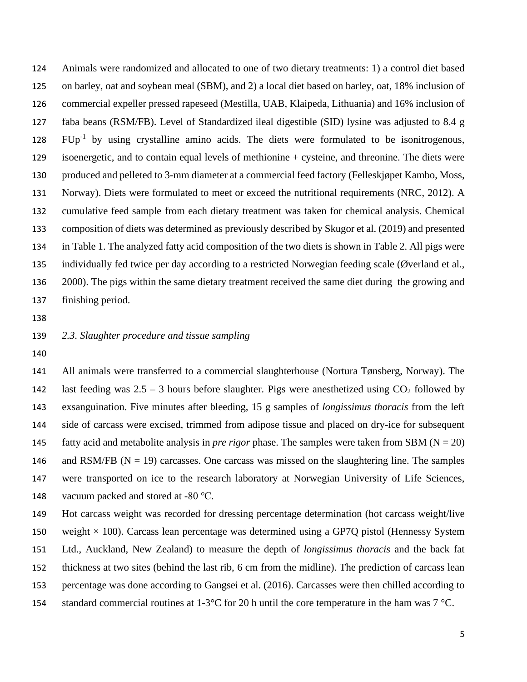Animals were randomized and allocated to one of two dietary treatments: 1) a control diet based on barley, oat and soybean meal (SBM), and 2) a local diet based on barley, oat, 18% inclusion of commercial expeller pressed rapeseed (Mestilla, UAB, Klaipeda, Lithuania) and 16% inclusion of faba beans (RSM/FB). Level of Standardized ileal digestible (SID) lysine was adjusted to 8.4 g  $FUp^{-1}$  by using crystalline amino acids. The diets were formulated to be isonitrogenous, isoenergetic, and to contain equal levels of methionine + cysteine, and threonine. The diets were produced and pelleted to 3-mm diameter at a commercial feed factory (Felleskjøpet Kambo, Moss, Norway). Diets were formulated to meet or exceed the nutritional requirements (NRC, 2012). A cumulative feed sample from each dietary treatment was taken for chemical analysis. Chemical composition of diets was determined as previously described by Skugor et al. (2019) and presented in Table 1. The analyzed fatty acid composition of the two diets is shown in Table 2. All pigs were individually fed twice per day according to a restricted Norwegian feeding scale (Øverland et al., 2000). The pigs within the same dietary treatment received the same diet during the growing and finishing period.

### *2.3. Slaughter procedure and tissue sampling*

 All animals were transferred to a commercial slaughterhouse (Nortura Tønsberg, Norway). The 142 last feeding was  $2.5 - 3$  hours before slaughter. Pigs were anesthetized using  $CO<sub>2</sub>$  followed by exsanguination. Five minutes after bleeding, 15 g samples of *longissimus thoracis* from the left side of carcass were excised, trimmed from adipose tissue and placed on dry-ice for subsequent 145 fatty acid and metabolite analysis in *pre rigor* phase. The samples were taken from SBM ( $N = 20$ ) 146 and RSM/FB ( $N = 19$ ) carcasses. One carcass was missed on the slaughtering line. The samples were transported on ice to the research laboratory at Norwegian University of Life Sciences, vacuum packed and stored at -80 ℃.

 Hot carcass weight was recorded for dressing percentage determination (hot carcass weight/live 150 weight  $\times$  100). Carcass lean percentage was determined using a GP7O pistol (Hennessy System Ltd., Auckland, New Zealand) to measure the depth of *longissimus thoracis* and the back fat thickness at two sites (behind the last rib, 6 cm from the midline). The prediction of carcass lean percentage was done according to Gangsei et al. (2016). Carcasses were then chilled according to 154 standard commercial routines at  $1-3^{\circ}\text{C}$  for 20 h until the core temperature in the ham was  $7^{\circ}\text{C}$ .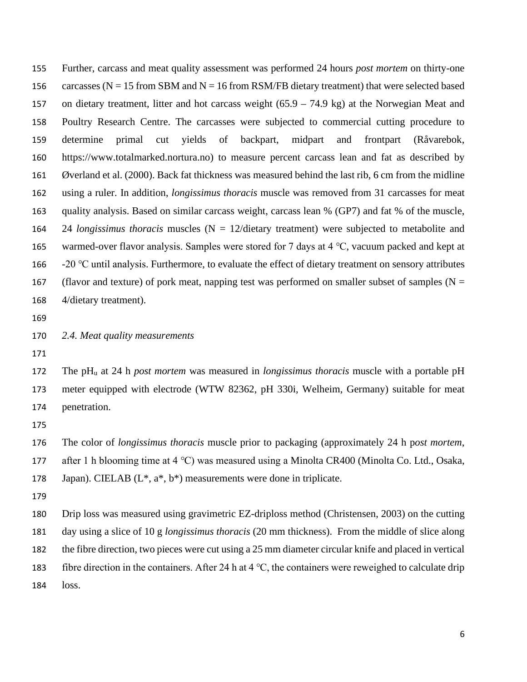Further, carcass and meat quality assessment was performed 24 hours *post mortem* on thirty-one 156 carcasses ( $N = 15$  from SBM and  $N = 16$  from RSM/FB dietary treatment) that were selected based on dietary treatment, litter and hot carcass weight (65.9 – 74.9 kg) at the Norwegian Meat and Poultry Research Centre. The carcasses were subjected to commercial cutting procedure to determine primal cut yields of backpart, midpart and frontpart (Råvarebok, [https://www.totalmarked.nortura.no\)](https://www.totalmarked.nortura.no/) to measure percent carcass lean and fat as described by Øverland et al. (2000). Back fat thickness was measured behind the last rib, 6 cm from the midline using a ruler. In addition, *longissimus thoracis* muscle was removed from 31 carcasses for meat quality analysis. Based on similar carcass weight, carcass lean % (GP7) and fat % of the muscle, 24 *longissimus thoracis* muscles (N = 12/dietary treatment) were subjected to metabolite and warmed-over flavor analysis. Samples were stored for 7 days at 4 ℃, vacuum packed and kept at -20 ℃ until analysis. Furthermore, to evaluate the effect of dietary treatment on sensory attributes 167 (flavor and texture) of pork meat, napping test was performed on smaller subset of samples ( $N =$ 4/dietary treatment).

- 
- *2.4. Meat quality measurements*
- 

 The pHu at 24 h *post mortem* was measured in *longissimus thoracis* muscle with a portable pH meter equipped with electrode (WTW 82362, pH 330i, Welheim, Germany) suitable for meat penetration.

 The color of *longissimus thoracis* muscle prior to packaging (approximately 24 h p*ost mortem*, after 1 h blooming time at 4 ℃) was measured using a Minolta CR400 (Minolta Co. Ltd., Osaka, 178 Japan). CIELAB  $(L^*, a^*, b^*)$  measurements were done in triplicate.

 Drip loss was measured using gravimetric EZ-driploss method (Christensen, 2003) on the cutting day using a slice of 10 g *longissimus thoracis* (20 mm thickness). From the middle of slice along the fibre direction, two pieces were cut using a 25 mm diameter circular knife and placed in vertical fibre direction in the containers. After 24 h at 4 ℃, the containers were reweighed to calculate drip loss.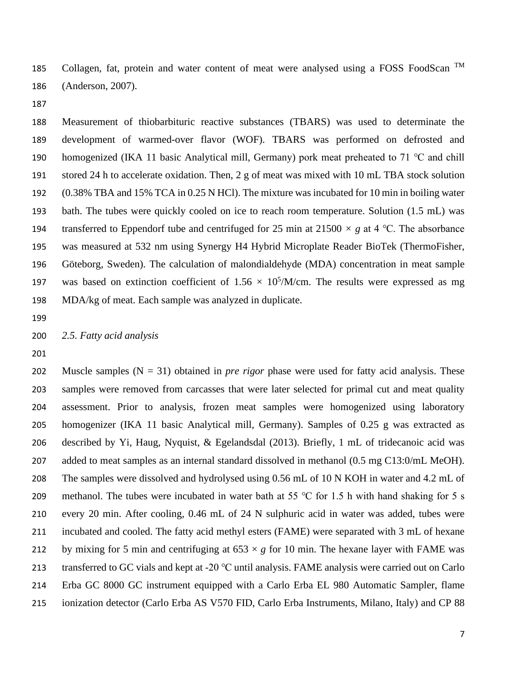185 Collagen, fat, protein and water content of meat were analysed using a FOSS FoodScan  $TM$ (Anderson, 2007).

 Measurement of thiobarbituric reactive substances (TBARS) was used to determinate the development of warmed-over flavor (WOF). TBARS was performed on defrosted and homogenized (IKA 11 basic Analytical mill, Germany) pork meat preheated to 71 ℃ and chill stored 24 h to accelerate oxidation. Then, 2 g of meat was mixed with 10 mL TBA stock solution (0.38% TBA and 15% TCA in 0.25 N HCl). The mixture was incubated for 10 min in boiling water bath. The tubes were quickly cooled on ice to reach room temperature. Solution (1.5 mL) was transferred to Eppendorf tube and centrifuged for 25 min at 21500 *× g* at 4 ℃. The absorbance was measured at 532 nm using Synergy H4 Hybrid Microplate Reader BioTek (ThermoFisher, Göteborg, Sweden). The calculation of malondialdehyde (MDA) concentration in meat sample 197 was based on extinction coefficient of  $1.56 \times 10^5$ /M/cm. The results were expressed as mg MDA/kg of meat. Each sample was analyzed in duplicate.

#### *2.5. Fatty acid analysis*

 Muscle samples (N = 31) obtained in *pre rigor* phase were used for fatty acid analysis. These samples were removed from carcasses that were later selected for primal cut and meat quality assessment. Prior to analysis, frozen meat samples were homogenized using laboratory homogenizer (IKA 11 basic Analytical mill, Germany). Samples of 0.25 g was extracted as described by Yi, Haug, Nyquist, & Egelandsdal (2013). Briefly, 1 mL of tridecanoic acid was added to meat samples as an internal standard dissolved in methanol (0.5 mg C13:0/mL MeOH). 208 The samples were dissolved and hydrolysed using 0.56 mL of 10 N KOH in water and 4.2 mL of 209 methanol. The tubes were incubated in water bath at 55 °C for 1.5 h with hand shaking for 5 s every 20 min. After cooling, 0.46 mL of 24 N sulphuric acid in water was added, tubes were incubated and cooled. The fatty acid methyl esters (FAME) were separated with 3 mL of hexane 212 by mixing for 5 min and centrifuging at  $653 \times g$  for 10 min. The hexane layer with FAME was transferred to GC vials and kept at -20 ℃ until analysis. FAME analysis were carried out on Carlo Erba GC 8000 GC instrument equipped with a Carlo Erba EL 980 Automatic Sampler, flame ionization detector (Carlo Erba AS V570 FID, Carlo Erba Instruments, Milano, Italy) and CP 88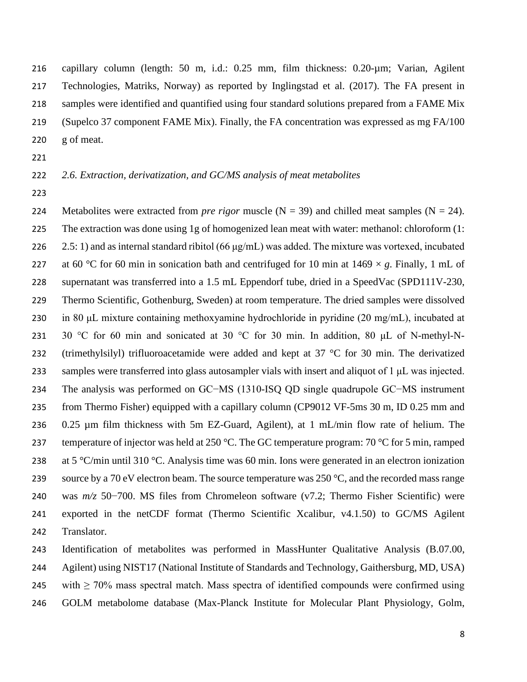capillary column (length: 50 m, i.d.: 0.25 mm, film thickness: 0.20-µm; Varian, Agilent Technologies, Matriks, Norway) as reported by Inglingstad et al. (2017). The FA present in samples were identified and quantified using four standard solutions prepared from a FAME Mix (Supelco 37 component FAME Mix). Finally, the FA concentration was expressed as mg FA/100 g of meat.

### *2.6. Extraction, derivatization, and GC/MS analysis of meat metabolites*

224 Metabolites were extracted from *pre rigor* muscle  $(N = 39)$  and chilled meat samples  $(N = 24)$ . The extraction was done using 1g of homogenized lean meat with water: methanol: chloroform (1: 226 2.5: 1) and as internal standard ribitol (66  $\mu$ g/mL) was added. The mixture was vortexed, incubated 227 at 60 °C for 60 min in sonication bath and centrifuged for 10 min at  $1469 \times g$ . Finally, 1 mL of supernatant was transferred into a 1.5 mL Eppendorf tube, dried in a SpeedVac (SPD111V-230, Thermo Scientific, Gothenburg, Sweden) at room temperature. The dried samples were dissolved 230 in 80  $\mu$ L mixture containing methoxyamine hydrochloride in pyridine (20 mg/mL), incubated at 231 30 °C for 60 min and sonicated at 30 °C for 30 min. In addition, 80  $\mu$ L of N-methyl-N-232 (trimethylsilyl) trifluoroacetamide were added and kept at 37 °C for 30 min. The derivatized samples were transferred into glass autosampler vials with insert and aliquot of 1 μL was injected. The analysis was performed on GC−MS (1310-ISQ QD single quadrupole GC−MS instrument from Thermo Fisher) equipped with a capillary column (CP9012 VF-5ms 30 m, ID 0.25 mm and 0.25 µm film thickness with 5m EZ-Guard, Agilent), at 1 mL/min flow rate of helium. The 237 temperature of injector was held at 250 °C. The GC temperature program: °C for 5 min, ramped 238 at 5 °C/min until 310 °C. Analysis time was 60 min. Ions were generated in an electron ionization 239 source by a 70 eV electron beam. The source temperature was  $250 \degree C$ , and the recorded mass range was *m/z* 50−700. MS files from Chromeleon software (v7.2; Thermo Fisher Scientific) were exported in the netCDF format (Thermo Scientific Xcalibur, v4.1.50) to GC/MS Agilent Translator.

 Identification of metabolites was performed in MassHunter Qualitative Analysis (B.07.00, Agilent) using NIST17 (National Institute of Standards and Technology, Gaithersburg, MD, USA)

245 with  $\geq 70\%$  mass spectral match. Mass spectra of identified compounds were confirmed using

GOLM metabolome database (Max-Planck Institute for Molecular Plant Physiology, Golm,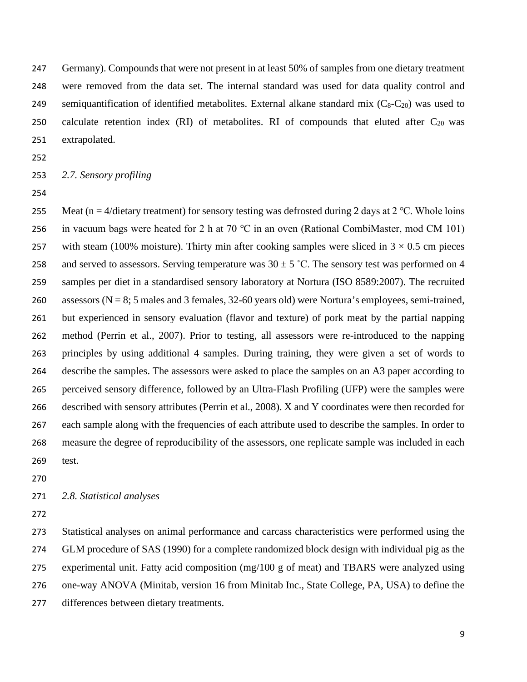Germany). Compounds that were not present in at least 50% of samples from one dietary treatment were removed from the data set. The internal standard was used for data quality control and 249 semiquantification of identified metabolites. External alkane standard mix  $(C_8-C_{20})$  was used to 250 calculate retention index (RI) of metabolites. RI of compounds that eluted after  $C_{20}$  was extrapolated.

#### *2.7. Sensory profiling*

255 Meat (n = 4/dietary treatment) for sensory testing was defrosted during 2 days at 2 °C. Whole loins 256 in vacuum bags were heated for 2 h at 70 °C in an oven (Rational CombiMaster, mod CM 101) 257 with steam (100% moisture). Thirty min after cooking samples were sliced in  $3 \times 0.5$  cm pieces 258 and served to assessors. Serving temperature was  $30 \pm 5$  °C. The sensory test was performed on 4 samples per diet in a standardised sensory laboratory at Nortura (ISO 8589:2007). The recruited assessors (N = 8; 5 males and 3 females, 32-60 years old) were Nortura's employees, semi-trained, but experienced in sensory evaluation (flavor and texture) of pork meat by the partial napping method (Perrin et al., 2007). Prior to testing, all assessors were re-introduced to the napping principles by using additional 4 samples. During training, they were given a set of words to describe the samples. The assessors were asked to place the samples on an A3 paper according to perceived sensory difference, followed by an Ultra-Flash Profiling (UFP) were the samples were described with sensory attributes (Perrin et al., 2008). X and Y coordinates were then recorded for each sample along with the frequencies of each attribute used to describe the samples. In order to measure the degree of reproducibility of the assessors, one replicate sample was included in each test.

#### *2.8. Statistical analyses*

 Statistical analyses on animal performance and carcass characteristics were performed using the GLM procedure of SAS (1990) for a complete randomized block design with individual pig as the experimental unit. Fatty acid composition (mg/100 g of meat) and TBARS were analyzed using one-way ANOVA (Minitab, version 16 from Minitab Inc., State College, PA, USA) to define the differences between dietary treatments.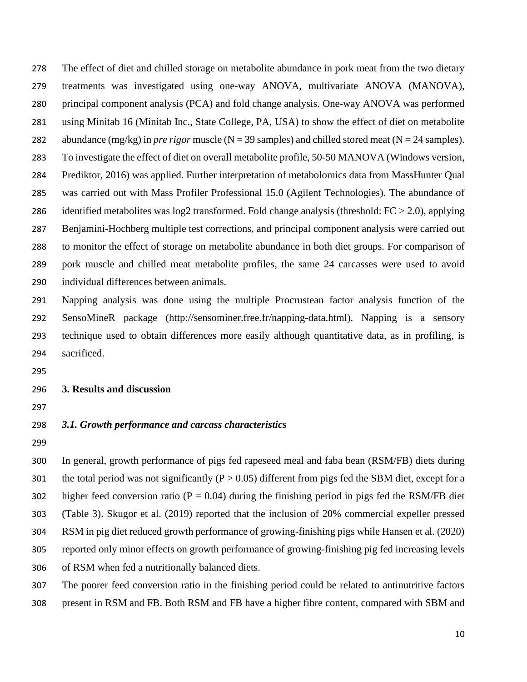The effect of diet and chilled storage on metabolite abundance in pork meat from the two dietary treatments was investigated using one-way ANOVA, multivariate ANOVA (MANOVA), principal component analysis (PCA) and fold change analysis. One-way ANOVA was performed using Minitab 16 (Minitab Inc., State College, PA, USA) to show the effect of diet on metabolite 282 abundance (mg/kg) in *pre rigor* muscle (N = 39 samples) and chilled stored meat (N = 24 samples). To investigate the effect of diet on overall metabolite profile, 50-50 MANOVA (Windows version, Prediktor, 2016) was applied. Further interpretation of metabolomics data from MassHunter Qual was carried out with Mass Profiler Professional 15.0 (Agilent Technologies). The abundance of identified metabolites was log2 transformed. Fold change analysis (threshold: FC > 2.0), applying Benjamini-Hochberg multiple test corrections, and principal component analysis were carried out to monitor the effect of storage on metabolite abundance in both diet groups. For comparison of pork muscle and chilled meat metabolite profiles, the same 24 carcasses were used to avoid individual differences between animals.

 Napping analysis was done using the multiple Procrustean factor analysis function of the SensoMineR package (http://sensominer.free.fr/napping-data.html). Napping is a sensory technique used to obtain differences more easily although quantitative data, as in profiling, is sacrificed.

#### **3. Results and discussion**

### *3.1. Growth performance and carcass characteristics*

 In general, growth performance of pigs fed rapeseed meal and faba bean (RSM/FB) diets during 301 the total period was not significantly ( $P > 0.05$ ) different from pigs fed the SBM diet, except for a 302 higher feed conversion ratio ( $P = 0.04$ ) during the finishing period in pigs fed the RSM/FB diet (Table 3). Skugor et al. (2019) reported that the inclusion of 20% commercial expeller pressed RSM in pig diet reduced growth performance of growing-finishing pigs while Hansen et al. (2020) reported only minor effects on growth performance of growing-finishing pig fed increasing levels of RSM when fed a nutritionally balanced diets.

 The poorer feed conversion ratio in the finishing period could be related to antinutritive factors present in RSM and FB. Both RSM and FB have a higher fibre content, compared with SBM and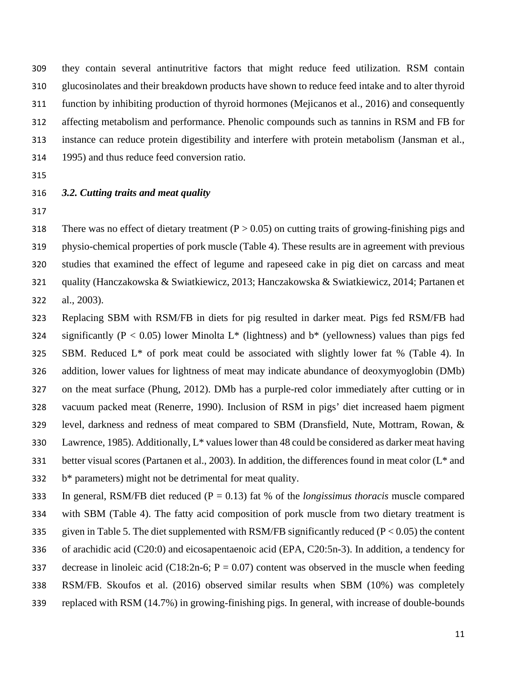they contain several antinutritive factors that might reduce feed utilization. RSM contain glucosinolates and their breakdown products have shown to reduce feed intake and to alter thyroid function by inhibiting production of thyroid hormones (Mejicanos et al., 2016) and consequently affecting metabolism and performance. Phenolic compounds such as tannins in RSM and FB for instance can reduce protein digestibility and interfere with protein metabolism (Jansman et al., 1995) and thus reduce feed conversion ratio.

### *3.2. Cutting traits and meat quality*

318 There was no effect of dietary treatment  $(P > 0.05)$  on cutting traits of growing-finishing pigs and physio-chemical properties of pork muscle (Table 4). These results are in agreement with previous studies that examined the effect of legume and rapeseed cake in pig diet on carcass and meat quality (Hanczakowska & Swiatkiewicz, 2013; Hanczakowska & Swiatkiewicz, 2014; Partanen et al., 2003).

 Replacing SBM with RSM/FB in diets for pig resulted in darker meat. Pigs fed RSM/FB had 324 significantly ( $P < 0.05$ ) lower Minolta L<sup>\*</sup> (lightness) and  $b^*$  (yellowness) values than pigs fed 325 SBM. Reduced  $L^*$  of pork meat could be associated with slightly lower fat % (Table 4). In addition, lower values for lightness of meat may indicate abundance of deoxymyoglobin (DMb) on the meat surface (Phung, 2012). DMb has a purple-red color immediately after cutting or in vacuum packed meat (Renerre, 1990). Inclusion of RSM in pigs' diet increased haem pigment level, darkness and redness of meat compared to SBM (Dransfield, Nute, Mottram, Rowan, & 330 Lawrence, 1985). Additionally,  $L^*$  values lower than 48 could be considered as darker meat having 331 better visual scores (Partanen et al., 2003). In addition, the differences found in meat color  $(L^*$  and b\* parameters) might not be detrimental for meat quality.

 In general, RSM/FB diet reduced (P = 0.13) fat % of the *longissimus thoracis* muscle compared with SBM (Table 4). The fatty acid composition of pork muscle from two dietary treatment is 335 given in Table 5. The diet supplemented with RSM/FB significantly reduced ( $P < 0.05$ ) the content of arachidic acid (C20:0) and eicosapentaenoic acid (EPA, C20:5n-3). In addition, a tendency for 337 decrease in linoleic acid (C18:2n-6;  $P = 0.07$ ) content was observed in the muscle when feeding RSM/FB. Skoufos et al. (2016) observed similar results when SBM (10%) was completely replaced with RSM (14.7%) in growing-finishing pigs. In general, with increase of double-bounds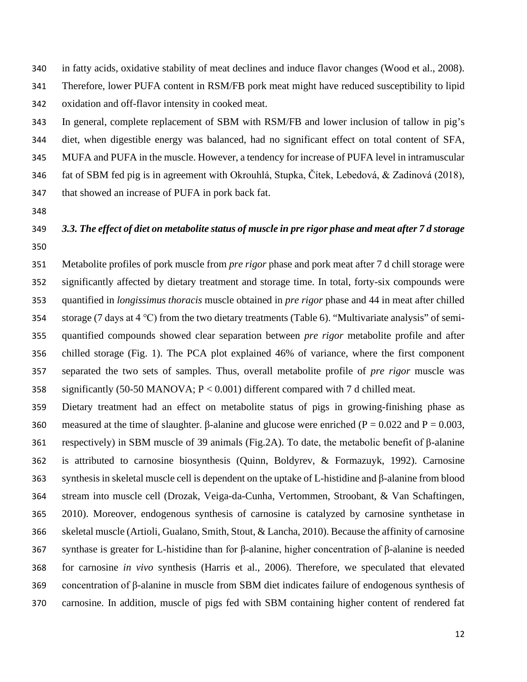in fatty acids, oxidative stability of meat declines and induce flavor changes (Wood et al., 2008). Therefore, lower PUFA content in RSM/FB pork meat might have reduced susceptibility to lipid oxidation and off-flavor intensity in cooked meat.

 In general, complete replacement of SBM with RSM/FB and lower inclusion of tallow in pig's diet, when digestible energy was balanced, had no significant effect on total content of SFA, MUFA and PUFA in the muscle. However, a tendency for increase of PUFA level in intramuscular fat of SBM fed pig is in agreement with Okrouhlá, Stupka, Čítek, Lebedová, & Zadinová (2018), that showed an increase of PUFA in pork back fat.

# *3.3. The effect of diet on metabolite status of muscle in pre rigor phase and meat after 7 d storage*

 Metabolite profiles of pork muscle from *pre rigor* phase and pork meat after 7 d chill storage were significantly affected by dietary treatment and storage time. In total, forty-six compounds were quantified in *longissimus thoracis* muscle obtained in *pre rigor* phase and 44 in meat after chilled storage (7 days at 4 ℃) from the two dietary treatments (Table 6). "Multivariate analysis" of semi- quantified compounds showed clear separation between *pre rigor* metabolite profile and after chilled storage (Fig. 1). The PCA plot explained 46% of variance, where the first component separated the two sets of samples. Thus, overall metabolite profile of *pre rigor* muscle was significantly (50-50 MANOVA; P < 0.001) different compared with 7 d chilled meat.

 Dietary treatment had an effect on metabolite status of pigs in growing-finishing phase as 360 measured at the time of slaughter. β-alanine and glucose were enriched ( $P = 0.022$  and  $P = 0.003$ , respectively) in SBM muscle of 39 animals (Fig.2A). To date, the metabolic benefit of β-alanine is attributed to carnosine biosynthesis (Quinn, Boldyrev, & Formazuyk, 1992). Carnosine synthesis in skeletal muscle cell is dependent on the uptake of L-histidine and β-alanine from blood stream into muscle cell (Drozak, Veiga-da-Cunha, Vertommen, Stroobant, & Van Schaftingen, 2010). Moreover, endogenous synthesis of carnosine is catalyzed by carnosine synthetase in skeletal muscle (Artioli, Gualano, Smith, Stout, & Lancha, 2010). Because the affinity of carnosine synthase is greater for L-histidine than for β-alanine, higher concentration of β-alanine is needed for carnosine *in vivo* synthesis (Harris et al., 2006). Therefore, we speculated that elevated concentration of β-alanine in muscle from SBM diet indicates failure of endogenous synthesis of carnosine. In addition, muscle of pigs fed with SBM containing higher content of rendered fat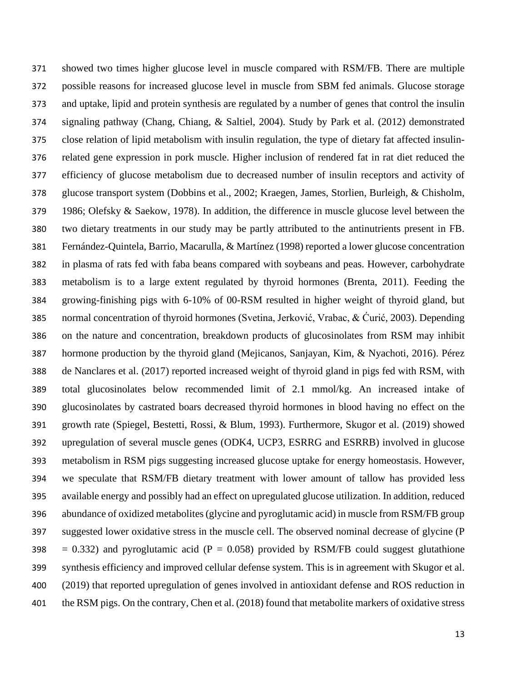showed two times higher glucose level in muscle compared with RSM/FB. There are multiple possible reasons for increased glucose level in muscle from SBM fed animals. Glucose storage and uptake, lipid and protein synthesis are regulated by a number of genes that control the insulin signaling pathway (Chang, Chiang, & Saltiel, 2004). Study by Park et al. (2012) demonstrated close relation of lipid metabolism with insulin regulation, the type of dietary fat affected insulin- related gene expression in pork muscle. Higher inclusion of rendered fat in rat diet reduced the efficiency of glucose metabolism due to decreased number of insulin receptors and activity of glucose transport system (Dobbins et al., 2002; Kraegen, James, Storlien, Burleigh, & Chisholm, 1986; Olefsky & Saekow, 1978). In addition, the difference in muscle glucose level between the two dietary treatments in our study may be partly attributed to the antinutrients present in FB. Fernández-Quintela, Barrio, Macarulla, & Martínez (1998) reported a lower glucose concentration in plasma of rats fed with faba beans compared with soybeans and peas. However, carbohydrate metabolism is to a large extent regulated by thyroid hormones (Brenta, 2011). Feeding the growing-finishing pigs with 6-10% of 00-RSM resulted in higher weight of thyroid gland, but normal concentration of thyroid hormones (Svetina, Jerković, Vrabac, & Ćurić, 2003). Depending on the nature and concentration, breakdown products of glucosinolates from RSM may inhibit hormone production by the thyroid gland (Mejicanos, Sanjayan, Kim, & Nyachoti, 2016). Pérez de Nanclares et al. (2017) reported increased weight of thyroid gland in pigs fed with RSM, with total glucosinolates below recommended limit of 2.1 mmol/kg. An increased intake of glucosinolates by castrated boars decreased thyroid hormones in blood having no effect on the growth rate (Spiegel, Bestetti, Rossi, & Blum, 1993). Furthermore, Skugor et al. (2019) showed upregulation of several muscle genes (ODK4, UCP3, ESRRG and ESRRB) involved in glucose metabolism in RSM pigs suggesting increased glucose uptake for energy homeostasis. However, we speculate that RSM/FB dietary treatment with lower amount of tallow has provided less available energy and possibly had an effect on upregulated glucose utilization. In addition, reduced abundance of oxidized metabolites (glycine and pyroglutamic acid) in muscle from RSM/FB group suggested lower oxidative stress in the muscle cell. The observed nominal decrease of glycine (P 398 = 0.332) and pyroglutamic acid ( $P = 0.058$ ) provided by RSM/FB could suggest glutathione synthesis efficiency and improved cellular defense system. This is in agreement with Skugor et al. (2019) that reported upregulation of genes involved in antioxidant defense and ROS reduction in the RSM pigs. On the contrary, Chen et al. (2018) found that metabolite markers of oxidative stress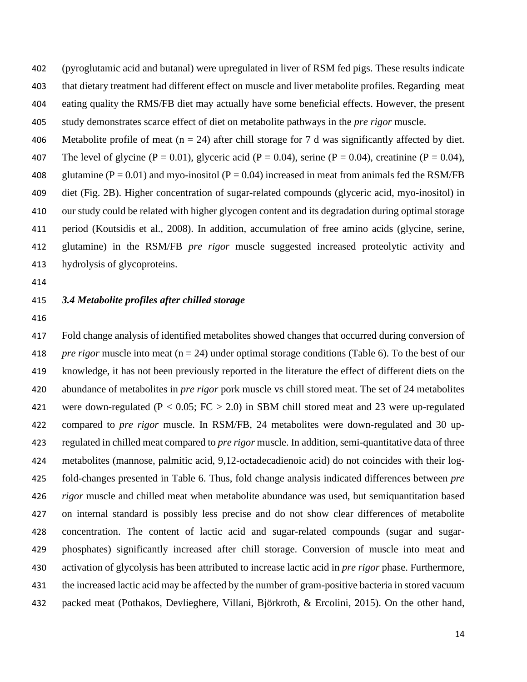(pyroglutamic acid and butanal) were upregulated in liver of RSM fed pigs. These results indicate that dietary treatment had different effect on muscle and liver metabolite profiles. Regarding meat eating quality the RMS/FB diet may actually have some beneficial effects. However, the present study demonstrates scarce effect of diet on metabolite pathways in the *pre rigor* muscle.

406 Metabolite profile of meat ( $n = 24$ ) after chill storage for 7 d was significantly affected by diet. 407 The level of glycine (P = 0.01), glyceric acid (P = 0.04), serine (P = 0.04), creatinine (P = 0.04), 408 glutamine ( $P = 0.01$ ) and myo-inositol ( $P = 0.04$ ) increased in meat from animals fed the RSM/FB diet (Fig. 2B). Higher concentration of sugar-related compounds (glyceric acid, myo-inositol) in our study could be related with higher glycogen content and its degradation during optimal storage period (Koutsidis et al., 2008). In addition, accumulation of free amino acids (glycine, serine, glutamine) in the RSM/FB *pre rigor* muscle suggested increased proteolytic activity and hydrolysis of glycoproteins.

### *3.4 Metabolite profiles after chilled storage*

 Fold change analysis of identified metabolites showed changes that occurred during conversion of *pre rigor* muscle into meat (n = 24) under optimal storage conditions (Table 6). To the best of our knowledge, it has not been previously reported in the literature the effect of different diets on the abundance of metabolites in *pre rigor* pork muscle vs chill stored meat. The set of 24 metabolites 421 were down-regulated ( $P < 0.05$ ;  $FC > 2.0$ ) in SBM chill stored meat and 23 were up-regulated compared to *pre rigor* muscle. In RSM/FB, 24 metabolites were down-regulated and 30 up- regulated in chilled meat compared to *pre rigor* muscle. In addition, semi-quantitative data of three metabolites (mannose, palmitic acid, 9,12-octadecadienoic acid) do not coincides with their log- fold-changes presented in Table 6. Thus, fold change analysis indicated differences between *pre rigor* muscle and chilled meat when metabolite abundance was used, but semiquantitation based on internal standard is possibly less precise and do not show clear differences of metabolite concentration. The content of lactic acid and sugar-related compounds (sugar and sugar- phosphates) significantly increased after chill storage. Conversion of muscle into meat and activation of glycolysis has been attributed to increase lactic acid in *pre rigor* phase. Furthermore, the increased lactic acid may be affected by the number of gram-positive bacteria in stored vacuum packed meat (Pothakos, Devlieghere, Villani, Björkroth, & Ercolini, 2015). On the other hand,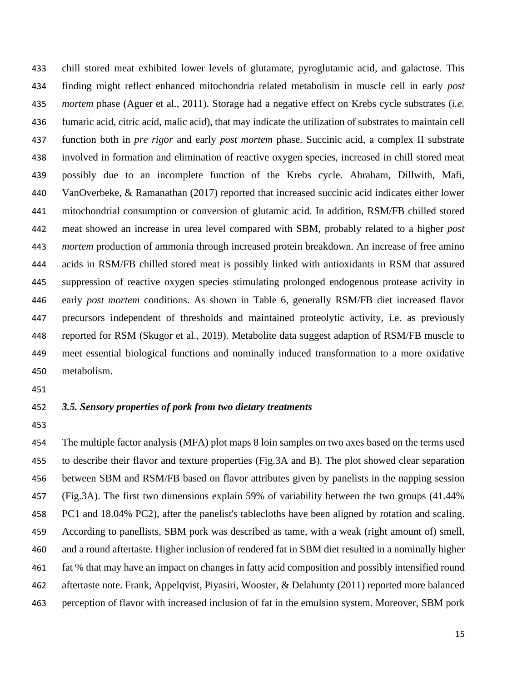chill stored meat exhibited lower levels of glutamate, pyroglutamic acid, and galactose. This finding might reflect enhanced mitochondria related metabolism in muscle cell in early *post mortem* phase (Aguer et al., 2011). Storage had a negative effect on Krebs cycle substrates (*i.e.* fumaric acid, citric acid, malic acid), that may indicate the utilization of substrates to maintain cell function both in *pre rigor* and early *post mortem* phase. Succinic acid, a complex II substrate involved in formation and elimination of reactive oxygen species, increased in chill stored meat possibly due to an incomplete function of the Krebs cycle. Abraham, Dillwith, Mafi, VanOverbeke, & Ramanathan (2017) reported that increased succinic acid indicates either lower mitochondrial consumption or conversion of glutamic acid. In addition, RSM/FB chilled stored meat showed an increase in urea level compared with SBM, probably related to a higher *post mortem* production of ammonia through increased protein breakdown. An increase of free amino acids in RSM/FB chilled stored meat is possibly linked with antioxidants in RSM that assured suppression of reactive oxygen species stimulating prolonged endogenous protease activity in early *post mortem* conditions. As shown in Table 6, generally RSM/FB diet increased flavor precursors independent of thresholds and maintained proteolytic activity, i.e. as previously reported for RSM (Skugor et al., 2019). Metabolite data suggest adaption of RSM/FB muscle to meet essential biological functions and nominally induced transformation to a more oxidative metabolism.

### *3.5. Sensory properties of pork from two dietary treatments*

 The multiple factor analysis (MFA) plot maps 8 loin samples on two axes based on the terms used to describe their flavor and texture properties (Fig.3A and B). The plot showed clear separation between SBM and RSM/FB based on flavor attributes given by panelists in the napping session (Fig.3A). The first two dimensions explain 59% of variability between the two groups (41.44% PC1 and 18.04% PC2), after the panelist's tablecloths have been aligned by rotation and scaling. According to panellists, SBM pork was described as tame, with a weak (right amount of) smell, and a round aftertaste. Higher inclusion of rendered fat in SBM diet resulted in a nominally higher fat % that may have an impact on changes in fatty acid composition and possibly intensified round aftertaste note. Frank, Appelqvist, Piyasiri, Wooster, & Delahunty (2011) reported more balanced perception of flavor with increased inclusion of fat in the emulsion system. Moreover, SBM pork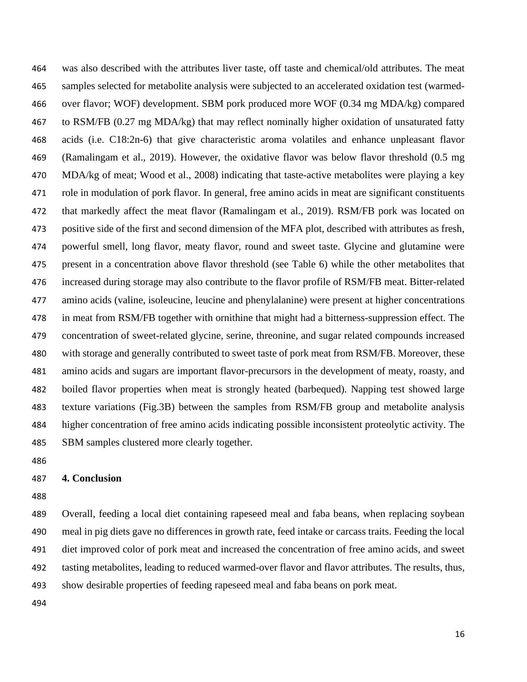was also described with the attributes liver taste, off taste and chemical/old attributes. The meat samples selected for metabolite analysis were subjected to an accelerated oxidation test (warmed- over flavor; WOF) development. SBM pork produced more WOF (0.34 mg MDA/kg) compared to RSM/FB (0.27 mg MDA/kg) that may reflect nominally higher oxidation of unsaturated fatty acids (i.e. C18:2n-6) that give characteristic aroma volatiles and enhance unpleasant flavor (Ramalingam et al., 2019). However, the oxidative flavor was below flavor threshold (0.5 mg MDA/kg of meat; Wood et al., 2008) indicating that taste-active metabolites were playing a key role in modulation of pork flavor. In general, free amino acids in meat are significant constituents that markedly affect the meat flavor (Ramalingam et al., 2019). RSM/FB pork was located on positive side of the first and second dimension of the MFA plot, described with attributes as fresh, powerful smell, long flavor, meaty flavor, round and sweet taste. Glycine and glutamine were present in a concentration above flavor threshold (see Table 6) while the other metabolites that increased during storage may also contribute to the flavor profile of RSM/FB meat. Bitter-related amino acids (valine, isoleucine, leucine and phenylalanine) were present at higher concentrations in meat from RSM/FB together with ornithine that might had a bitterness-suppression effect. The concentration of sweet-related glycine, serine, threonine, and sugar related compounds increased with storage and generally contributed to sweet taste of pork meat from RSM/FB. Moreover, these amino acids and sugars are important flavor-precursors in the development of meaty, roasty, and boiled flavor properties when meat is strongly heated (barbequed). Napping test showed large texture variations (Fig.3B) between the samples from RSM/FB group and metabolite analysis higher concentration of free amino acids indicating possible inconsistent proteolytic activity. The SBM samples clustered more clearly together.

### **4. Conclusion**

 Overall, feeding a local diet containing rapeseed meal and faba beans, when replacing soybean meal in pig diets gave no differences in growth rate, feed intake or carcass traits. Feeding the local diet improved color of pork meat and increased the concentration of free amino acids, and sweet tasting metabolites, leading to reduced warmed-over flavor and flavor attributes. The results, thus, show desirable properties of feeding rapeseed meal and faba beans on pork meat.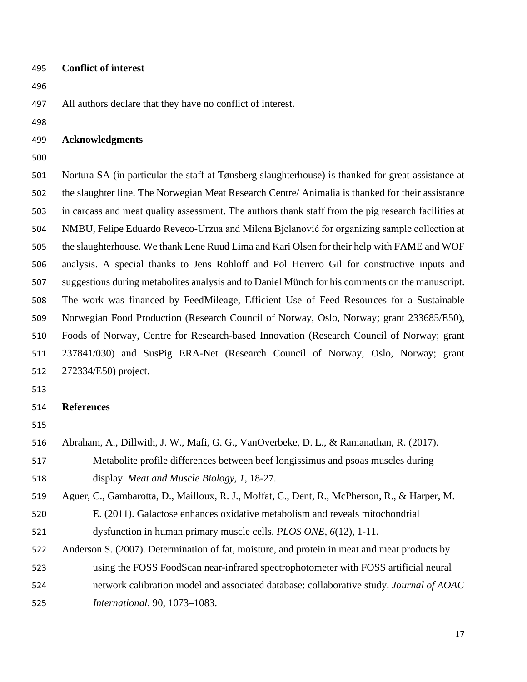#### **Conflict of interest**

All authors declare that they have no conflict of interest.

#### **Acknowledgments**

 Nortura SA (in particular the staff at Tønsberg slaughterhouse) is thanked for great assistance at the slaughter line. The Norwegian Meat Research Centre/ Animalia is thanked for their assistance in carcass and meat quality assessment. The authors thank staff from the pig research facilities at NMBU, Felipe Eduardo Reveco-Urzua and Milena Bjelanović for organizing sample collection at the slaughterhouse. We thank Lene Ruud Lima and Kari Olsen for their help with FAME and WOF analysis. A special thanks to Jens Rohloff and Pol Herrero Gil for constructive inputs and suggestions during metabolites analysis and to Daniel Münch for his comments on the manuscript. The work was financed by FeedMileage, Efficient Use of Feed Resources for a Sustainable Norwegian Food Production (Research Council of Norway, Oslo, Norway; grant 233685/E50), Foods of Norway, Centre for Research-based Innovation (Research Council of Norway; grant 237841/030) and SusPig ERA-Net (Research Council of Norway, Oslo, Norway; grant 272334/E50) project.

### **References**

Abraham, A., Dillwith, J. W., Mafi, G. G., VanOverbeke, D. L., & Ramanathan, R. (2017).

 Metabolite profile differences between beef longissimus and psoas muscles during display. *Meat and Muscle Biology, 1*, 18-27.

- Aguer, C., Gambarotta, D., Mailloux, R. J., Moffat, C., Dent, R., McPherson, R., & Harper, M.
- E. (2011). Galactose enhances oxidative metabolism and reveals mitochondrial dysfunction in human primary muscle cells. *PLOS ONE, 6*(12), 1-11.
- Anderson S. (2007). Determination of fat, moisture, and protein in meat and meat products by
- using the FOSS FoodScan near-infrared spectrophotometer with FOSS artificial neural
- network calibration model and associated database: collaborative study. *Journal of AOAC*
- *International,* 90, 1073–1083.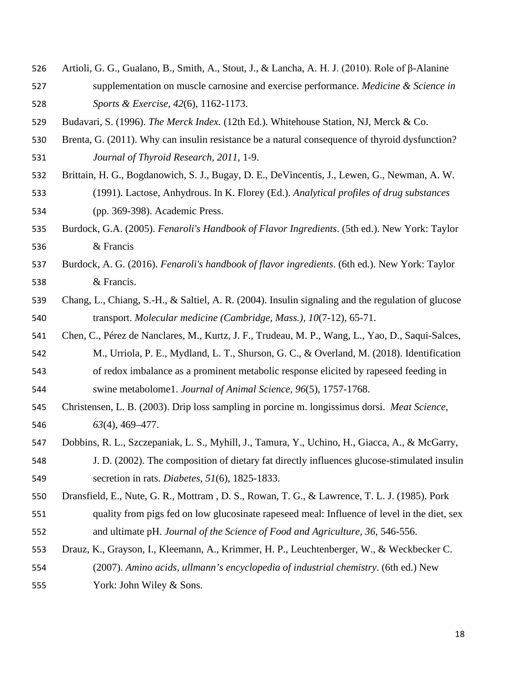- Artioli, G. G., Gualano, B., Smith, A., Stout, J., & Lancha, A. H. J. (2010). Role of β-Alanine supplementation on muscle carnosine and exercise performance. *Medicine & Science in Sports & Exercise, 42*(6), 1162-1173.
- Budavari, S. (1996). *The Merck Index.* (12th Ed.). Whitehouse Station, NJ, Merck & Co.
- Brenta, G. (2011). Why can insulin resistance be a natural consequence of thyroid dysfunction? *Journal of Thyroid Research, 2011*, 1-9.
- Brittain, H. G., Bogdanowich, S. J., Bugay, D. E., DeVincentis, J., Lewen, G., Newman, A. W. (1991). Lactose, Anhydrous. In K. Florey (Ed.). *Analytical profiles of drug substances* (pp. 369-398). Academic Press.
- Burdock, G.A. (2005). *Fenaroli's Handbook of Flavor Ingredients*. (5th ed.). New York: Taylor & Francis
- Burdock, A. G. (2016). *Fenaroli's handbook of flavor ingredients*. (6th ed.). New York: Taylor & Francis.
- Chang, L., Chiang, S.-H., & Saltiel, A. R. (2004). Insulin signaling and the regulation of glucose transport. *Molecular medicine (Cambridge, Mass.), 10*(7-12), 65-71.
- Chen, C., Pérez de Nanclares, M., Kurtz, J. F., Trudeau, M. P., Wang, L., Yao, D., Saqui-Salces, M., Urriola, P. E., Mydland, L. T., Shurson, G. C., & Overland, M. (2018). Identification of redox imbalance as a prominent metabolic response elicited by rapeseed feeding in swine metabolome1. *Journal of Animal Science, 96*(5), 1757-1768.
- Christensen, L. B. (2003). Drip loss sampling in porcine m. longissimus dorsi. *Meat Science, 63*(4), 469–477.
- Dobbins, R. L., Szczepaniak, L. S., Myhill, J., Tamura, Y., Uchino, H., Giacca, A., & McGarry,
- J. D. (2002). The composition of dietary fat directly influences glucose-stimulated insulin secretion in rats. *Diabetes, 51*(6), 1825-1833.
- Dransfield, E., Nute, G. R., Mottram , D. S., Rowan, T. G., & Lawrence, T. L. J. (1985). Pork
- quality from pigs fed on low glucosinate rapeseed meal: Influence of level in the diet, sex and ultimate pH. *Journal of the Science of Food and Agriculture, 36*, 546-556.
- Drauz, K., Grayson, I., Kleemann, A., Krimmer, H. P., Leuchtenberger, W., & Weckbecker C. (2007). *Amino acids, ullmann's encyclopedia of industrial chemistry*. (6th ed.) New
- York: John Wiley & Sons.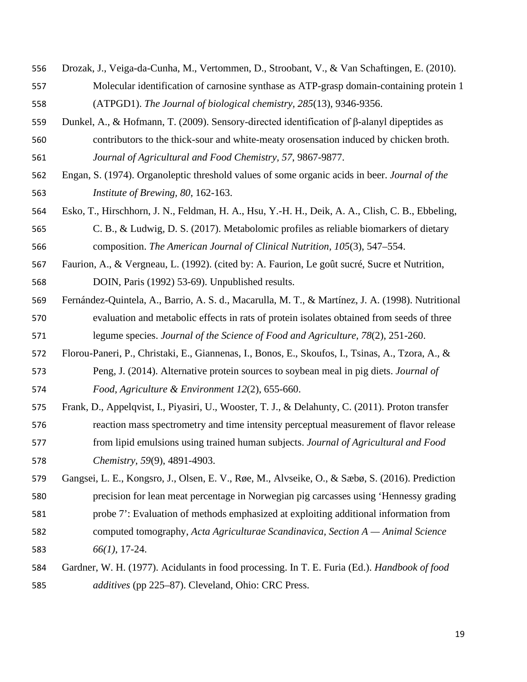Drozak, J., Veiga-da-Cunha, M., Vertommen, D., Stroobant, V., & Van Schaftingen, E. (2010). Molecular identification of carnosine synthase as ATP-grasp domain-containing protein 1

- Dunkel, A., & Hofmann, T. (2009). Sensory-directed identification of β-alanyl dipeptides as contributors to the thick-sour and white-meaty orosensation induced by chicken broth. *Journal of Agricultural and Food Chemistry, 57*, 9867-9877.
- Engan, S. (1974). Organoleptic threshold values of some organic acids in beer. *Journal of the Institute of Brewing, 80*, 162-163.
- Esko, T., Hirschhorn, J. N., Feldman, H. A., Hsu, Y.-H. H., Deik, A. A., Clish, C. B., Ebbeling,
- C. B., & Ludwig, D. S. (2017). Metabolomic profiles as reliable biomarkers of dietary composition. *The American Journal of Clinical Nutrition, 105*(3), 547–554.
- Faurion, A., & Vergneau, L. (1992). (cited by: A. Faurion, Le goût sucré, Sucre et Nutrition, DOIN, Paris (1992) 53-69). Unpublished results.
- Fernández-Quintela, A., Barrio, A. S. d., Macarulla, M. T., & Martínez, J. A. (1998). Nutritional evaluation and metabolic effects in rats of protein isolates obtained from seeds of three legume species. *Journal of the Science of Food and Agriculture, 78*(2), 251-260.
- Florou-Paneri, P., Christaki, E., Giannenas, I., Bonos, E., Skoufos, I., Tsinas, A., Tzora, A., & Peng, J. (2014). Alternative protein sources to soybean meal in pig diets. *Journal of Food, Agriculture & Environment 12*(2), 655-660.
- Frank, D., Appelqvist, I., Piyasiri, U., Wooster, T. J., & Delahunty, C. (2011). Proton transfer reaction mass spectrometry and time intensity perceptual measurement of flavor release from lipid emulsions using trained human subjects. *Journal of Agricultural and Food Chemistry, 59*(9), 4891-4903.
- Gangsei, L. E., Kongsro, J., Olsen, E. V., Røe, M., Alvseike, O., & Sæbø, S. (2016). Prediction precision for lean meat percentage in Norwegian pig carcasses using 'Hennessy grading
- probe 7': Evaluation of methods emphasized at exploiting additional information from
- computed tomography, *Acta Agriculturae Scandinavica, Section A — Animal Science 66(1)*, 17-24.
- Gardner, W. H. (1977). Acidulants in food processing. In T. E. Furia (Ed.). *Handbook of food additives* (pp 225–87). Cleveland, Ohio: CRC Press.

(ATPGD1). *The Journal of biological chemistry, 285*(13), 9346-9356.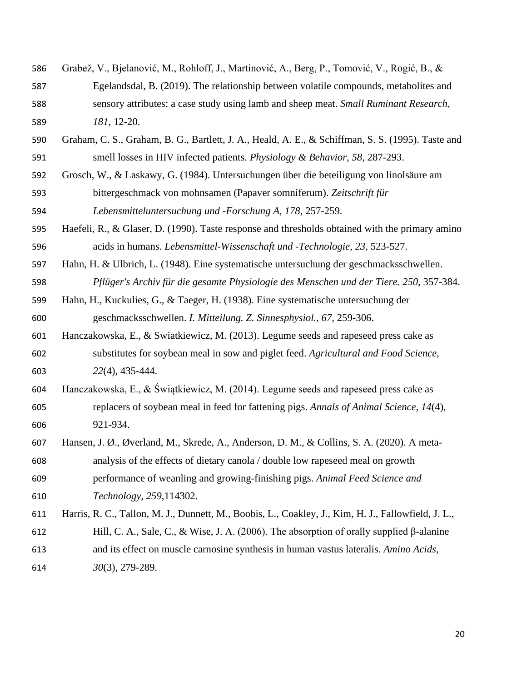Grabež, V., Bjelanović, M., Rohloff, J., Martinović, A., Berg, P., Tomović, V., Rogić, B., & Egelandsdal, B. (2019). The relationship between volatile compounds, metabolites and sensory attributes: a case study using lamb and sheep meat. *Small Ruminant Research,*

*181,* 12-20.

- Graham, C. S., Graham, B. G., Bartlett, J. A., Heald, A. E., & Schiffman, S. S. (1995). Taste and smell losses in HIV infected patients. *Physiology & Behavior, 58,* 287-293.
- Grosch, W., & Laskawy, G. (1984). Untersuchungen über die beteiligung von linolsäure am bittergeschmack von mohnsamen (Papaver somniferum). *Zeitschrift für Lebensmitteluntersuchung und -Forschung A, 178*, 257-259.

 Haefeli, R., & Glaser, D. (1990). Taste response and thresholds obtained with the primary amino acids in humans. *Lebensmittel-Wissenschaft und -Technologie, 23*, 523-527.

- Hahn, H. & Ulbrich, L. (1948). Eine systematische untersuchung der geschmacksschwellen. *Pflüger's Archiv für die gesamte Physiologie des Menschen und der Tiere. 250*, 357-384.
- Hahn, H., Kuckulies, G., & Taeger, H. (1938). Eine systematische untersuchung der geschmacksschwellen. *I. Mitteilung. Z. Sinnesphysiol., 67,* 259-306.
- Hanczakowska, E., & Swiatkiewicz, M. (2013). Legume seeds and rapeseed press cake as substitutes for soybean meal in sow and piglet feed. *Agricultural and Food Science, 22*(4), 435-444.
- Hanczakowska, E., & Świątkiewicz, M. (2014). Legume seeds and rapeseed press cake as replacers of soybean meal in feed for fattening pigs. *Annals of Animal Science, 14*(4), 921-934.
- Hansen, J. Ø., Øverland, M., Skrede, A., Anderson, D. M., & Collins, S. A. (2020). A meta- analysis of the effects of dietary canola / double low rapeseed meal on growth performance of weanling and growing-finishing pigs. *Animal Feed Science and Technology, 259*,114302.
- Harris, R. C., Tallon, M. J., Dunnett, M., Boobis, L., Coakley, J., Kim, H. J., Fallowfield, J. L., Hill, C. A., Sale, C., & Wise, J. A. (2006). The absorption of orally supplied β-alanine and its effect on muscle carnosine synthesis in human vastus lateralis. *Amino Acids,*
- *30*(3), 279-289.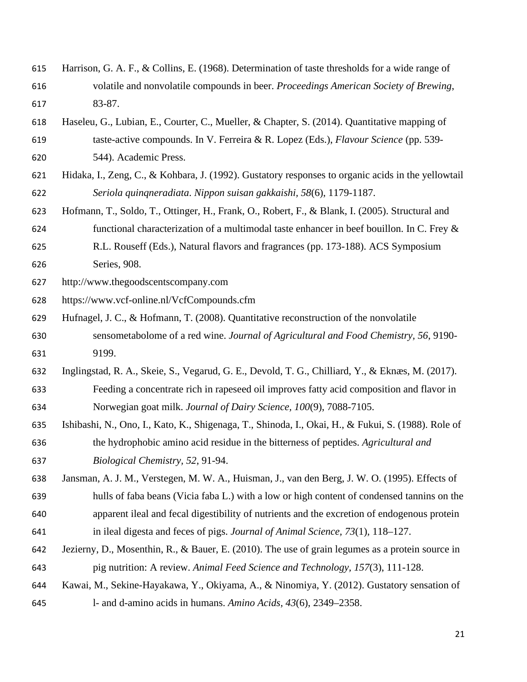- Harrison, G. A. F., & Collins, E. (1968). Determination of taste thresholds for a wide range of volatile and nonvolatile compounds in beer. *Proceedings American Society of Brewing*, 83-87.
- Haseleu, G., Lubian, E., Courter, C., Mueller, & Chapter, S. (2014). Quantitative mapping of taste-active compounds. In V. Ferreira & R. Lopez (Eds.), *Flavour Science* (pp. 539- 544). Academic Press.
- Hidaka, I., Zeng, C., & Kohbara, J. (1992). Gustatory responses to organic acids in the yellowtail
- *Seriola quinqneradiata*. *Nippon suisan gakkaishi, 58*(6), 1179-1187.
- Hofmann, T., Soldo, T., Ottinger, H., Frank, O., Robert, F., & Blank, I. (2005). Structural and 624 functional characterization of a multimodal taste enhancer in beef bouillon. In C. Frey  $\&$
- R.L. Rouseff (Eds.), Natural flavors and fragrances (pp. 173-188). ACS Symposium Series, 908.
- [http://www.thegoodscentscompany.com](http://www.thegoodscentscompany.com/)
- <https://www.vcf-online.nl/VcfCompounds.cfm>
- Hufnagel, J. C., & Hofmann, T. (2008). Quantitative reconstruction of the nonvolatile sensometabolome of a red wine. *Journal of Agricultural and Food Chemistry, 56*, 9190- 9199.
- Inglingstad, R. A., Skeie, S., Vegarud, G. E., Devold, T. G., Chilliard, Y., & Eknæs, M. (2017).
- Feeding a concentrate rich in rapeseed oil improves fatty acid composition and flavor in Norwegian goat milk. *Journal of Dairy Science, 100*(9), 7088-7105.
- Ishibashi, N., Ono, I., Kato, K., Shigenaga, T., Shinoda, I., Okai, H., & Fukui, S. (1988). Role of the hydrophobic amino acid residue in the bitterness of peptides. *Agricultural and Biological Chemistry, 52*, 91-94.
- Jansman, A. J. M., Verstegen, M. W. A., Huisman, J., van den Berg, J. W. O. (1995). Effects of hulls of faba beans (Vicia faba L.) with a low or high content of condensed tannins on the apparent ileal and fecal digestibility of nutrients and the excretion of endogenous protein
- in ileal digesta and feces of pigs. *Journal of Animal Science, 73*(1), 118–127.
- Jezierny, D., Mosenthin, R., & Bauer, E. (2010). The use of grain legumes as a protein source in pig nutrition: A review. *Animal Feed Science and Technology, 157*(3), 111-128.
- Kawai, M., Sekine-Hayakawa, Y., Okiyama, A., & Ninomiya, Y. (2012). Gustatory sensation of
- l- and d-amino acids in humans. *Amino Acids, 43*(6), 2349–2358.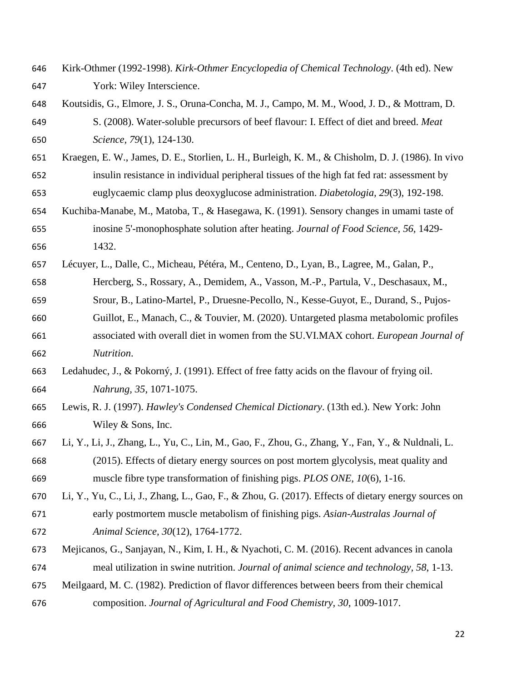- Kirk-Othmer (1992-1998). *Kirk-Othmer Encyclopedia of Chemical Technology*. (4th ed). New York: Wiley Interscience.
- Koutsidis, G., Elmore, J. S., Oruna-Concha, M. J., Campo, M. M., Wood, J. D., & Mottram, D. S. (2008). Water-soluble precursors of beef flavour: I. Effect of diet and breed. *Meat Science, 79*(1), 124-130.
- Kraegen, E. W., James, D. E., Storlien, L. H., Burleigh, K. M., & Chisholm, D. J. (1986). In vivo insulin resistance in individual peripheral tissues of the high fat fed rat: assessment by euglycaemic clamp plus deoxyglucose administration. *Diabetologia, 29*(3), 192-198.
- Kuchiba-Manabe, M., Matoba, T., & Hasegawa, K. (1991). Sensory changes in umami taste of inosine 5'-monophosphate solution after heating. *Journal of Food Science, 56,* 1429- 1432.
- Lécuyer, L., Dalle, C., Micheau, Pétéra, M., Centeno, D., Lyan, B., Lagree, M., Galan, P., Hercberg, S., Rossary, A., Demidem, A., Vasson, M.-P., Partula, V., Deschasaux, M., Srour, B., Latino-Martel, P., Druesne-Pecollo, N., Kesse-Guyot, E., Durand, S., Pujos- Guillot, E., Manach, C., & Touvier, M. (2020). Untargeted plasma metabolomic profiles associated with overall diet in women from the SU.VI.MAX cohort. *European Journal of Nutrition*.
- Ledahudec, J., & Pokorný, J. (1991). Effect of free fatty acids on the flavour of frying oil. *Nahrung, 35*, 1071-1075.
- Lewis, R. J. (1997). *Hawley's Condensed Chemical Dictionary*. (13th ed.). New York: John Wiley & Sons, Inc.
- Li, Y., Li, J., Zhang, L., Yu, C., Lin, M., Gao, F., Zhou, G., Zhang, Y., Fan, Y., & Nuldnali, L. (2015). Effects of dietary energy sources on post mortem glycolysis, meat quality and muscle fibre type transformation of finishing pigs. *PLOS ONE, 10*(6), 1-16.
- Li, Y., Yu, C., Li, J., Zhang, L., Gao, F., & Zhou, G. (2017). Effects of dietary energy sources on early postmortem muscle metabolism of finishing pigs. *Asian-Australas Journal of Animal Science, 30*(12), 1764-1772.
- Mejicanos, G., Sanjayan, N., Kim, I. H., & Nyachoti, C. M. (2016). Recent advances in canola meal utilization in swine nutrition. *Journal of animal science and technology, 58*, 1-13.
- Meilgaard, M. C. (1982). Prediction of flavor differences between beers from their chemical
- composition. *Journal of Agricultural and Food Chemistry, 30*, 1009-1017.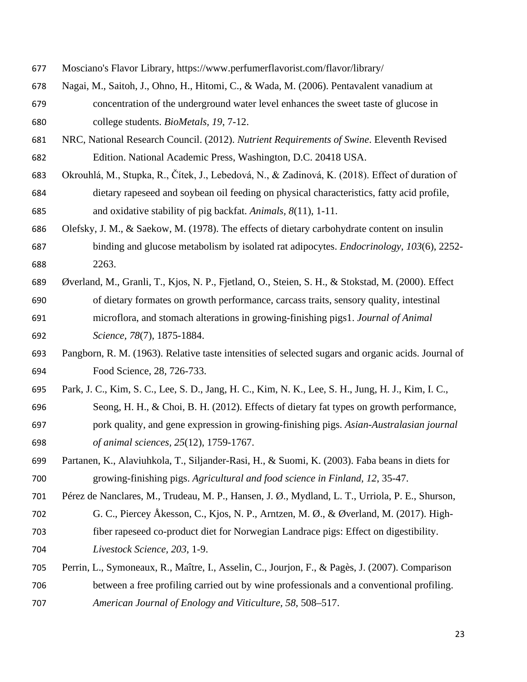- Mosciano's Flavor Library, https://www.perfumerflavorist.com/flavor/library/
- Nagai, M., Saitoh, J., Ohno, H., Hitomi, C., & Wada, M. (2006). Pentavalent vanadium at concentration of the underground water level enhances the sweet taste of glucose in college students. *BioMetals, 19*, 7-12.
- NRC, National Research Council. (2012). *Nutrient Requirements of Swine*. Eleventh Revised Edition. National Academic Press, Washington, D.C. 20418 USA.
- Okrouhlá, M., Stupka, R., Čítek, J., Lebedová, N., & Zadinová, K. (2018). Effect of duration of dietary rapeseed and soybean oil feeding on physical characteristics, fatty acid profile, and oxidative stability of pig backfat. *Animals, 8*(11), 1-11.
- Olefsky, J. M., & Saekow, M. (1978). The effects of dietary carbohydrate content on insulin binding and glucose metabolism by isolated rat adipocytes. *Endocrinology, 103*(6), 2252- 2263.
- Øverland, M., Granli, T., Kjos, N. P., Fjetland, O., Steien, S. H., & Stokstad, M. (2000). Effect of dietary formates on growth performance, carcass traits, sensory quality, intestinal microflora, and stomach alterations in growing-finishing pigs1. *Journal of Animal Science, 78*(7), 1875-1884.
- Pangborn, R. M. (1963). Relative taste intensities of selected sugars and organic acids. Journal of Food Science, 28, 726-733.
- Park, J. C., Kim, S. C., Lee, S. D., Jang, H. C., Kim, N. K., Lee, S. H., Jung, H. J., Kim, I. C., Seong, H. H., & Choi, B. H. (2012). Effects of dietary fat types on growth performance, pork quality, and gene expression in growing-finishing pigs. *Asian-Australasian journal of animal sciences, 25*(12), 1759-1767.
- Partanen, K., Alaviuhkola, T., Siljander-Rasi, H., & Suomi, K. (2003). Faba beans in diets for growing-finishing pigs. *Agricultural and food science in Finland, 12*, 35-47.
- Pérez de Nanclares, M., Trudeau, M. P., Hansen, J. Ø., Mydland, L. T., Urriola, P. E., Shurson, G. C., Piercey Åkesson, C., Kjos, N. P., Arntzen, M. Ø., & Øverland, M. (2017). High- fiber rapeseed co-product diet for Norwegian Landrace pigs: Effect on digestibility. *Livestock Science, 203*, 1-9.
- Perrin, L., Symoneaux, R., Maître, I., Asselin, C., Jourjon, F., & Pagès, J. (2007). Comparison between a free profiling carried out by wine professionals and a conventional profiling. *American Journal of Enology and Viticulture, 58*, 508–517.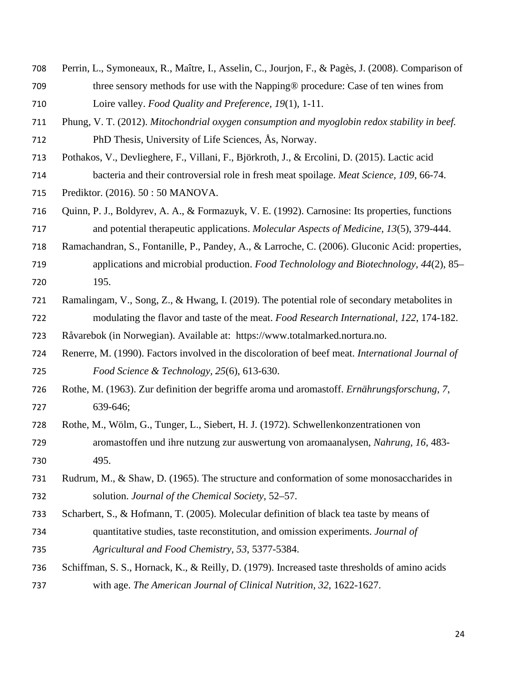- Perrin, L., Symoneaux, R., Maître, I., Asselin, C., Jourjon, F., & Pagès, J. (2008). Comparison of three sensory methods for use with the Napping® procedure: Case of ten wines from Loire valley. *Food Quality and Preference, 19*(1), 1-11.
- Phung, V. T. (2012). *Mitochondrial oxygen consumption and myoglobin redox stability in beef.* PhD Thesi*s*, University of Life Sciences, Ås, Norway.
- Pothakos, V., Devlieghere, F., Villani, F., Björkroth, J., & Ercolini, D. (2015). Lactic acid bacteria and their controversial role in fresh meat spoilage. *Meat Science, 109*, 66-74.
- Prediktor. (2016). 50 : 50 MANOVA.
- Quinn, P. J., Boldyrev, A. A., & Formazuyk, V. E. (1992). Carnosine: Its properties, functions and potential therapeutic applications. *Molecular Aspects of Medicine, 13*(5), 379-444.
- Ramachandran, S., Fontanille, P., Pandey, A., & Larroche, C. (2006). Gluconic Acid: properties, applications and microbial production. *Food Technolology and Biotechnology, 44*(2), 85– 195.
- Ramalingam, V., Song, Z., & Hwang, I. (2019). The potential role of secondary metabolites in modulating the flavor and taste of the meat. *Food Research International, 122*, 174-182.
- Råvarebok (in Norwegian). Available at: https://www.totalmarked.nortura.no.
- Renerre, M. (1990). Factors involved in the discoloration of beef meat. *International Journal of Food Science & Technology, 25*(6), 613-630.
- Rothe, M. (1963). Zur definition der begriffe aroma und aromastoff. *Ernährungsforschung, 7*, 639-646;
- Rothe, M., Wölm, G., Tunger, L., Siebert, H. J. (1972). Schwellenkonzentrationen von aromastoffen und ihre nutzung zur auswertung von aromaanalysen, *Nahrung, 16*, 483- 495.
- Rudrum, M., & Shaw, D. (1965). The structure and conformation of some monosaccharides in solution. *Journal of the Chemical Society*, 52–57.
- Scharbert, S., & Hofmann, T. (2005). Molecular definition of black tea taste by means of quantitative studies, taste reconstitution, and omission experiments. *Journal of Agricultural and Food Chemistry, 53*, 5377-5384.
- Schiffman, S. S., Hornack, K., & Reilly, D. (1979). Increased taste thresholds of amino acids with age. *The American Journal of Clinical Nutrition, 32*, 1622-1627.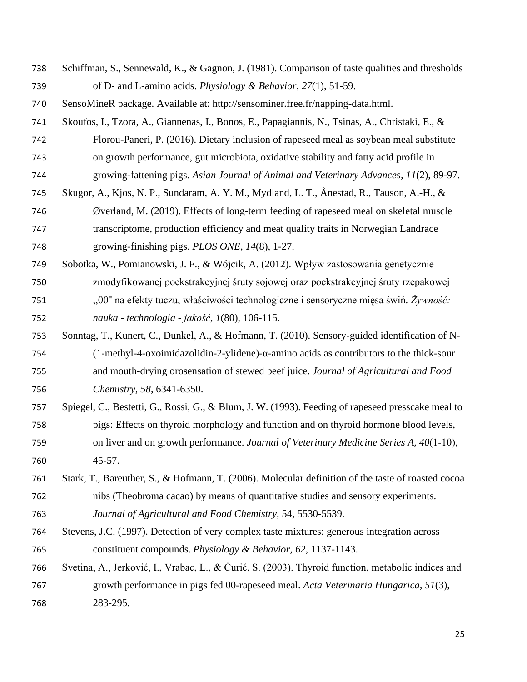- Schiffman, S., Sennewald, K., & Gagnon, J. (1981). Comparison of taste qualities and thresholds of D- and L-amino acids. *Physiology & Behavior, 27*(1), 51-59.
- SensoMineR package. Available at: http://sensominer.free.fr/napping-data.html.
- Skoufos, I., Tzora, A., Giannenas, I., Bonos, E., Papagiannis, N., Tsinas, A., Christaki, E., &
- Florou-Paneri, P. (2016). Dietary inclusion of rapeseed meal as soybean meal substitute
- on growth performance, gut microbiota, oxidative stability and fatty acid profile in
- growing-fattening pigs. *Asian Journal of Animal and Veterinary Advances, 11*(2), 89-97. Skugor, A., Kjos, N. P., Sundaram, A. Y. M., Mydland, L. T., Ånestad, R., Tauson, A.-H., &
- Øverland, M. (2019). Effects of long-term feeding of rapeseed meal on skeletal muscle transcriptome, production efficiency and meat quality traits in Norwegian Landrace growing-finishing pigs. *PLOS ONE, 14*(8), 1-27.
- Sobotka, W., Pomianowski, J. F., & Wójcik, A. (2012). Wpływ zastosowania genetycznie zmodyfikowanej poekstrakcyjnej śruty sojowej oraz poekstrakcyjnej śruty rzepakowej ,,00'' na efekty tuczu, właściwości technologiczne i sensoryczne mięsa świń*. Żywność: nauka - technologia - jakość, 1*(80), 106-115.
- Sonntag, T., Kunert, C., Dunkel, A., & Hofmann, T. (2010). Sensory-guided identification of N- (1-methyl-4-oxoimidazolidin-2-ylidene)-α-amino acids as contributors to the thick-sour and mouth-drying orosensation of stewed beef juice. *Journal of Agricultural and Food Chemistry, 58*, 6341-6350.
- Spiegel, C., Bestetti, G., Rossi, G., & Blum, J. W. (1993). Feeding of rapeseed presscake meal to pigs: Effects on thyroid morphology and function and on thyroid hormone blood levels, on liver and on growth performance. *Journal of Veterinary Medicine Series A, 40*(1‐10), 45-57.
- Stark, T., Bareuther, S., & Hofmann, T. (2006). Molecular definition of the taste of roasted cocoa nibs (Theobroma cacao) by means of quantitative studies and sensory experiments.
- *Journal of Agricultural and Food Chemistry,* 54, 5530-5539.
- Stevens, J.C. (1997). Detection of very complex taste mixtures: generous integration across constituent compounds. *Physiology & Behavior, 62*, 1137-1143.
- Svetina, A., Jerković, I., Vrabac, L., & Ćurić, S. (2003). Thyroid function, metabolic indices and growth performance in pigs fed 00-rapeseed meal. *Acta Veterinaria Hungarica, 51*(3), 283-295.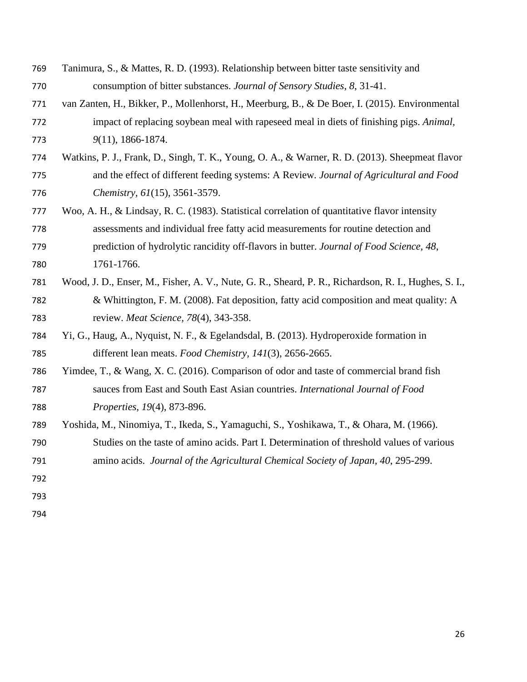- Tanimura, S., & Mattes, R. D. (1993). Relationship between bitter taste sensitivity and consumption of bitter substances. *Journal of Sensory Studies*, *8*, 31-41.
- van Zanten, H., Bikker, P., Mollenhorst, H., Meerburg, B., & De Boer, I. (2015). Environmental impact of replacing soybean meal with rapeseed meal in diets of finishing pigs. *Animal, 9*(11), 1866-1874.
- Watkins, P. J., Frank, D., Singh, T. K., Young, O. A., & Warner, R. D. (2013). Sheepmeat flavor and the effect of different feeding systems: A Review*. Journal of Agricultural and Food Chemistry, 61*(15), 3561-3579.
- Woo, A. H., & Lindsay, R. C. (1983). Statistical correlation of quantitative flavor intensity assessments and individual free fatty acid measurements for routine detection and prediction of hydrolytic rancidity off-flavors in butter. *Journal of Food Science, 48*, 1761-1766.
- Wood, J. D., Enser, M., Fisher, A. V., Nute, G. R., Sheard, P. R., Richardson, R. I., Hughes, S. I., & Whittington, F. M. (2008). Fat deposition, fatty acid composition and meat quality: A review. *Meat Science, 78*(4), 343-358.
- Yi, G., Haug, A., Nyquist, N. F., & Egelandsdal, B. (2013). Hydroperoxide formation in different lean meats. *Food Chemistry, 141*(3), 2656-2665.
- Yimdee, T., & Wang, X. C. (2016). Comparison of odor and taste of commercial brand fish sauces from East and South East Asian countries. *International Journal of Food Properties, 19*(4), 873-896.
- Yoshida, M., Ninomiya, T., Ikeda, S., Yamaguchi, S., Yoshikawa, T., & Ohara, M. (1966). Studies on the taste of amino acids. Part I. Determination of threshold values of various amino acids. *Journal of the Agricultural Chemical Society of Japan, 40*, 295-299.
- 
- 
-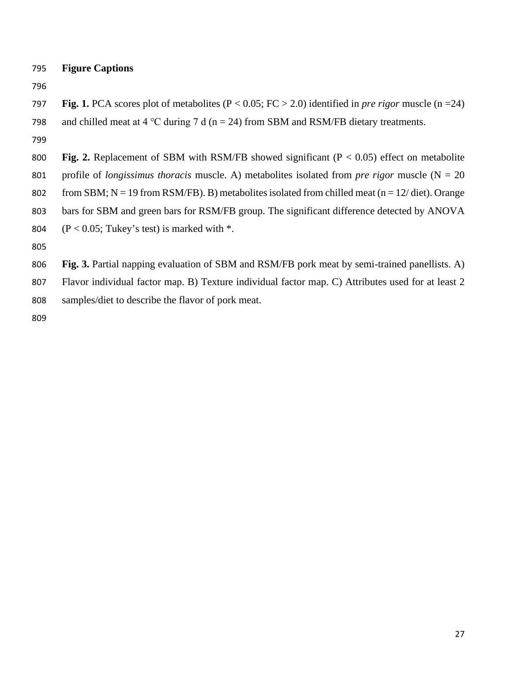**Figure Captions**

- **Fig. 1.** PCA scores plot of metabolites (P < 0.05; FC > 2.0) identified in *pre rigor* muscle (n =24) 798 and chilled meat at 4 °C during 7 d (n = 24) from SBM and RSM/FB dietary treatments.
- 
- **Fig. 2.** Replacement of SBM with RSM/FB showed significant (P < 0.05) effect on metabolite
- profile of *longissimus thoracis* muscle. A) metabolites isolated from *pre rigor* muscle (N = 20
- 802 from SBM;  $N = 19$  from RSM/FB). B) metabolites isolated from chilled meat (n = 12/ diet). Orange
- bars for SBM and green bars for RSM/FB group. The significant difference detected by ANOVA
- 804 ( $P < 0.05$ ; Tukey's test) is marked with  $*$ .
- 

**Fig. 3.** Partial napping evaluation of SBM and RSM/FB pork meat by semi-trained panellists. A)

 Flavor individual factor map. B) Texture individual factor map. C) Attributes used for at least 2 samples/diet to describe the flavor of pork meat.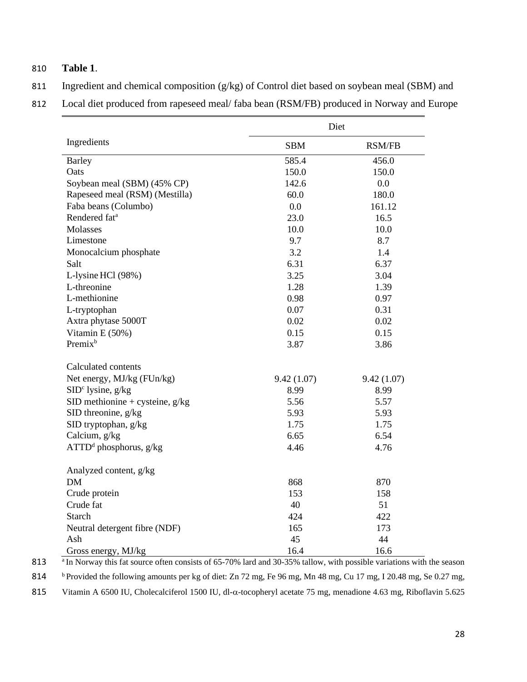## 810 **Table 1**.

811 Ingredient and chemical composition (g/kg) of Control diet based on soybean meal (SBM) and

812 Local diet produced from rapeseed meal/ faba bean (RSM/FB) produced in Norway and Europe

|                                   | Diet       |               |  |  |  |
|-----------------------------------|------------|---------------|--|--|--|
| Ingredients                       | <b>SBM</b> | <b>RSM/FB</b> |  |  |  |
| <b>Barley</b>                     | 585.4      | 456.0         |  |  |  |
| Oats                              | 150.0      | 150.0         |  |  |  |
| Soybean meal (SBM) (45% CP)       | 142.6      | 0.0           |  |  |  |
| Rapeseed meal (RSM) (Mestilla)    | 60.0       | 180.0         |  |  |  |
| Faba beans (Columbo)              | 0.0        | 161.12        |  |  |  |
| Rendered fat <sup>a</sup>         | 23.0       | 16.5          |  |  |  |
| Molasses                          | 10.0       | 10.0          |  |  |  |
| Limestone                         | 9.7        | 8.7           |  |  |  |
| Monocalcium phosphate             | 3.2        | 1.4           |  |  |  |
| Salt                              | 6.31       | 6.37          |  |  |  |
| L-lysine HCl (98%)                | 3.25       | 3.04          |  |  |  |
| L-threonine                       | 1.28       | 1.39          |  |  |  |
| L-methionine                      | 0.98       | 0.97          |  |  |  |
| L-tryptophan                      | 0.07       | 0.31          |  |  |  |
| Axtra phytase 5000T               | 0.02       | 0.02          |  |  |  |
| Vitamin E (50%)                   | 0.15       | 0.15          |  |  |  |
| Premix <sup>b</sup>               | 3.87       | 3.86          |  |  |  |
| Calculated contents               |            |               |  |  |  |
| Net energy, MJ/kg (FUn/kg)        | 9.42(1.07) | 9.42(1.07)    |  |  |  |
| $SIDc$ lysine, $g/kg$             | 8.99       | 8.99          |  |  |  |
| SID methionine + cysteine, $g/kg$ | 5.56       | 5.57          |  |  |  |
| SID threonine, g/kg               | 5.93       | 5.93          |  |  |  |
| SID tryptophan, g/kg              | 1.75       | 1.75          |  |  |  |
| Calcium, g/kg                     | 6.65       | 6.54          |  |  |  |
| $ATTDd$ phosphorus, g/kg          | 4.46       | 4.76          |  |  |  |
| Analyzed content, g/kg            |            |               |  |  |  |
| <b>DM</b>                         | 868        | 870           |  |  |  |
| Crude protein                     | 153        | 158           |  |  |  |
| Crude fat                         | 40         | 51            |  |  |  |
| <b>Starch</b>                     | 424        | 422           |  |  |  |
| Neutral detergent fibre (NDF)     | 165        | 173           |  |  |  |
| Ash                               | 45         | 44            |  |  |  |
| Gross energy, MJ/kg               | 16.4       | 16.6          |  |  |  |

813 <sup>a</sup> In Norway this fat source often consists of 65-70% lard and 30-35% tallow, with possible variations with the season 814 b Provided the following amounts per kg of diet: Zn 72 mg, Fe 96 mg, Mn 48 mg, Cu 17 mg, I 20.48 mg, Se 0.27 mg, 815 Vitamin A 6500 IU, Cholecalciferol 1500 IU, dl-α-tocopheryl acetate 75 mg, menadione 4.63 mg, Riboflavin 5.625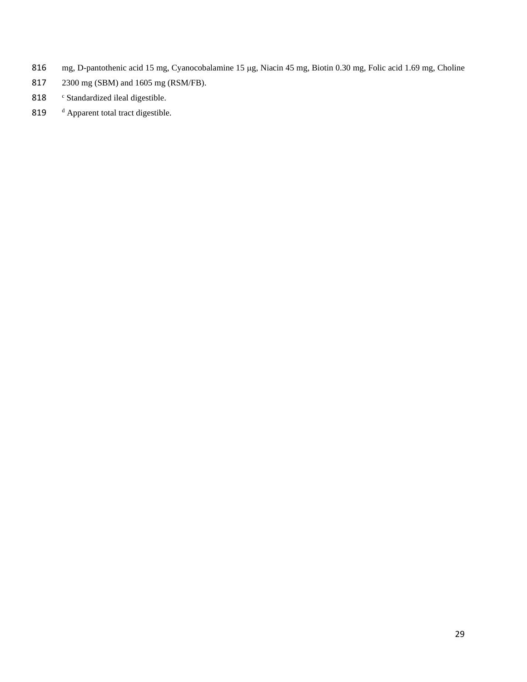- 816 mg, D-pantothenic acid 15 mg, Cyanocobalamine 15 µg, Niacin 45 mg, Biotin 0.30 mg, Folic acid 1.69 mg, Choline
- 817 2300 mg (SBM) and 1605 mg (RSM/FB).
- 818 Standardized ileal digestible.
- 819 d Apparent total tract digestible.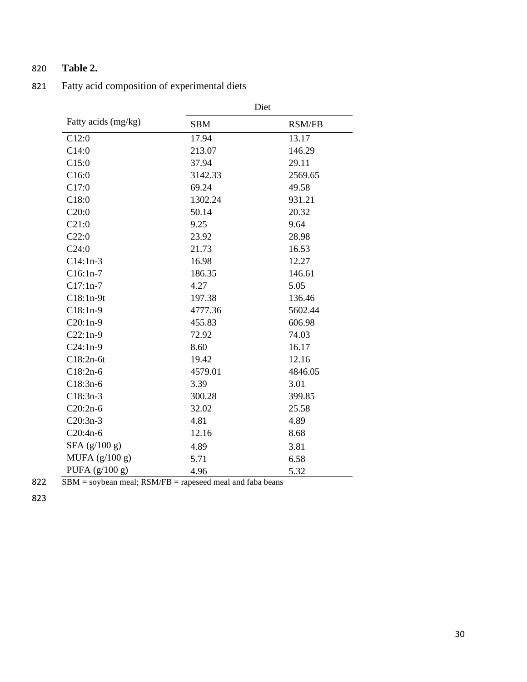## 820 **Table 2.**

|                     | Diet       |               |  |  |  |
|---------------------|------------|---------------|--|--|--|
| Fatty acids (mg/kg) | <b>SBM</b> | <b>RSM/FB</b> |  |  |  |
| C12:0               | 17.94      | 13.17         |  |  |  |
| C14:0               | 213.07     | 146.29        |  |  |  |
| C15:0               | 37.94      | 29.11         |  |  |  |
| C16:0               | 3142.33    | 2569.65       |  |  |  |
| C17:0               | 69.24      | 49.58         |  |  |  |
| C18:0               | 1302.24    | 931.21        |  |  |  |
| C20:0               | 50.14      | 20.32         |  |  |  |
| C21:0               | 9.25       | 9.64          |  |  |  |
| C22:0               | 23.92      | 28.98         |  |  |  |
| C24:0               | 21.73      | 16.53         |  |  |  |
| $C14:1n-3$          | 16.98      | 12.27         |  |  |  |
| $C16:1n-7$          | 186.35     | 146.61        |  |  |  |
| $C17:1n-7$          | 4.27       | 5.05          |  |  |  |
| $C18:1n-9t$         | 197.38     | 136.46        |  |  |  |
| $C18:1n-9$          | 4777.36    | 5602.44       |  |  |  |
| $C20:1n-9$          | 455.83     | 606.98        |  |  |  |
| $C22:1n-9$          | 72.92      | 74.03         |  |  |  |
| $C24:1n-9$          | 8.60       | 16.17         |  |  |  |
| $C18:2n-6t$         | 19.42      | 12.16         |  |  |  |
| $C18:2n-6$          | 4579.01    | 4846.05       |  |  |  |
| $C18:3n-6$          | 3.39       | 3.01          |  |  |  |
| $C18:3n-3$          | 300.28     | 399.85        |  |  |  |
| $C20:2n-6$          | 32.02      | 25.58         |  |  |  |
| $C20:3n-3$          | 4.81       | 4.89          |  |  |  |
| $C20:4n-6$          | 12.16      | 8.68          |  |  |  |
| $SFA$ (g/100 g)     | 4.89       | 3.81          |  |  |  |
| MUFA $(g/100 g)$    | 5.71       | 6.58          |  |  |  |
| PUFA $(g/100 g)$    | 4.96       | 5.32          |  |  |  |

821 Fatty acid composition of experimental diets

822 SBM = soybean meal; RSM/FB = rapeseed meal and faba beans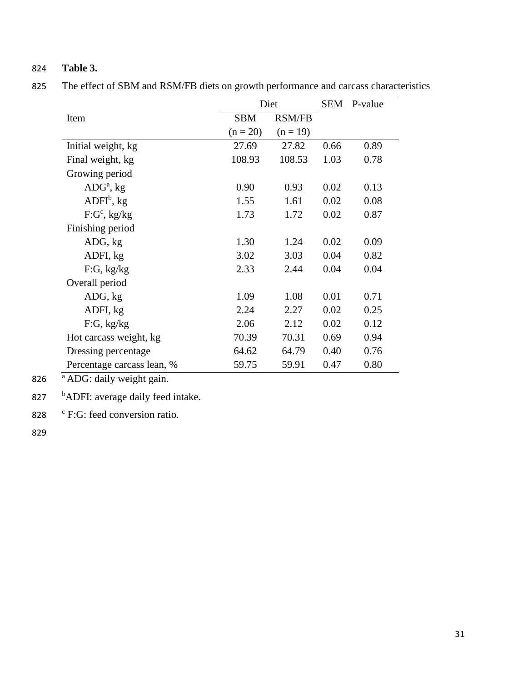## 824 **Table 3.**

825 The effect of SBM and RSM/FB diets on growth performance and carcass characteristics

|                            |            | Diet          |      | SEM P-value |
|----------------------------|------------|---------------|------|-------------|
| Item                       | <b>SBM</b> | <b>RSM/FB</b> |      |             |
|                            | $(n = 20)$ | $(n = 19)$    |      |             |
| Initial weight, kg         | 27.69      | 27.82         | 0.66 | 0.89        |
| Final weight, kg           | 108.93     | 108.53        | 1.03 | 0.78        |
| Growing period             |            |               |      |             |
| $ADGa$ , kg                | 0.90       | 0.93          | 0.02 | 0.13        |
| $ADFIb$ , kg               | 1.55       | 1.61          | 0.02 | 0.08        |
| $F:G^c$ , kg/kg            | 1.73       | 1.72          | 0.02 | 0.87        |
| Finishing period           |            |               |      |             |
| ADG, kg                    | 1.30       | 1.24          | 0.02 | 0.09        |
| ADFI, kg                   | 3.02       | 3.03          | 0.04 | 0.82        |
| F:G, kg/kg                 | 2.33       | 2.44          | 0.04 | 0.04        |
| Overall period             |            |               |      |             |
| ADG, kg                    | 1.09       | 1.08          | 0.01 | 0.71        |
| ADFI, kg                   | 2.24       | 2.27          | 0.02 | 0.25        |
| F:G, kg/kg                 | 2.06       | 2.12          | 0.02 | 0.12        |
| Hot carcass weight, kg     | 70.39      | 70.31         | 0.69 | 0.94        |
| Dressing percentage        | 64.62      | 64.79         | 0.40 | 0.76        |
| Percentage carcass lean, % | 59.75      | 59.91         | 0.47 | 0.80        |

826  $A\overline{DG}$ : daily weight gain.

827 bADFI: average daily feed intake.

828  $\degree$  F:G: feed conversion ratio.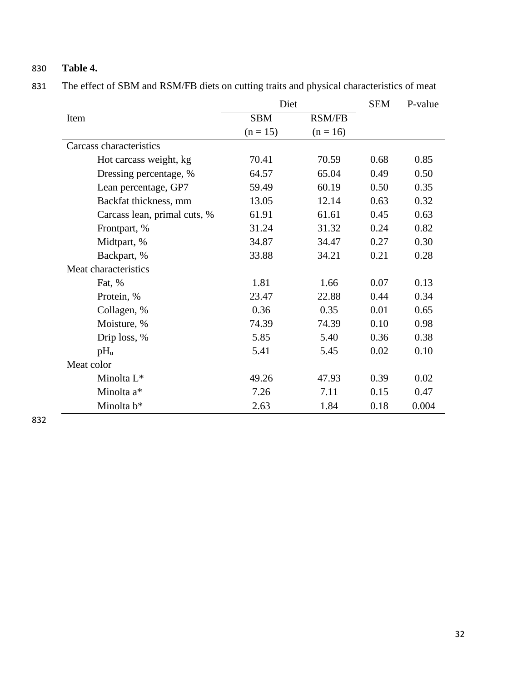## 830 **Table 4.**

831 The effect of SBM and RSM/FB diets on cutting traits and physical characteristics of meat

|                              | Diet       | <b>SEM</b>    | P-value |       |
|------------------------------|------------|---------------|---------|-------|
| Item                         | <b>SBM</b> | <b>RSM/FB</b> |         |       |
|                              | $(n = 15)$ | $(n = 16)$    |         |       |
| Carcass characteristics      |            |               |         |       |
| Hot carcass weight, kg       | 70.41      | 70.59         | 0.68    | 0.85  |
| Dressing percentage, %       | 64.57      | 65.04         | 0.49    | 0.50  |
| Lean percentage, GP7         | 59.49      | 60.19         | 0.50    | 0.35  |
| Backfat thickness, mm        | 13.05      | 12.14         | 0.63    | 0.32  |
| Carcass lean, primal cuts, % | 61.91      | 61.61         | 0.45    | 0.63  |
| Frontpart, %                 | 31.24      | 31.32         | 0.24    | 0.82  |
| Midtpart, %                  | 34.87      | 34.47         | 0.27    | 0.30  |
| Backpart, %                  | 33.88      | 34.21         | 0.21    | 0.28  |
| Meat characteristics         |            |               |         |       |
| Fat, %                       | 1.81       | 1.66          | 0.07    | 0.13  |
| Protein, %                   | 23.47      | 22.88         | 0.44    | 0.34  |
| Collagen, %                  | 0.36       | 0.35          | 0.01    | 0.65  |
| Moisture, %                  | 74.39      | 74.39         | 0.10    | 0.98  |
| Drip loss, %                 | 5.85       | 5.40          | 0.36    | 0.38  |
| $pH_u$                       | 5.41       | 5.45          | 0.02    | 0.10  |
| Meat color                   |            |               |         |       |
| Minolta L <sup>*</sup>       | 49.26      | 47.93         | 0.39    | 0.02  |
| Minolta a*                   | 7.26       | 7.11          | 0.15    | 0.47  |
| Minolta b*                   | 2.63       | 1.84          | 0.18    | 0.004 |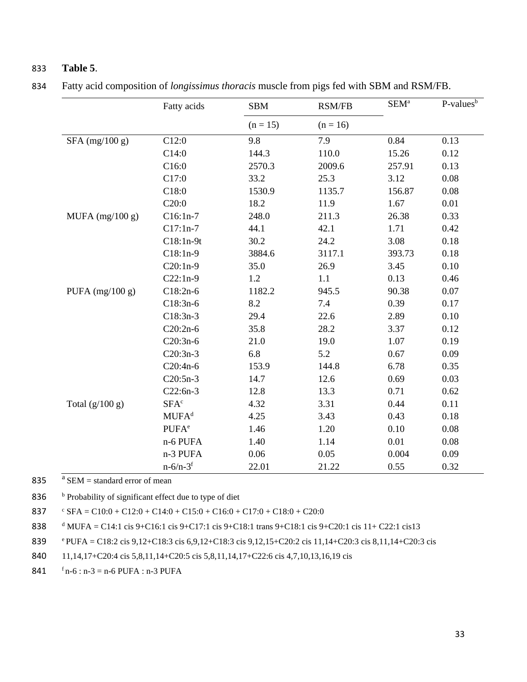### 833 **Table 5**.

|                   | Fatty acids              | <b>SBM</b> | <b>RSM/FB</b> |        | $P-values^b$ |  |
|-------------------|--------------------------|------------|---------------|--------|--------------|--|
|                   |                          | $(n = 15)$ | $(n = 16)$    |        |              |  |
| $SFA$ (mg/100 g)  | C12:0                    | 9.8        | 7.9           | 0.84   | 0.13         |  |
|                   | C14:0                    | 144.3      | 110.0         | 15.26  | 0.12         |  |
|                   | C16:0                    | 2570.3     | 2009.6        | 257.91 | 0.13         |  |
|                   | C17:0                    | 33.2       | 25.3          | 3.12   | 0.08         |  |
|                   | C18:0                    | 1530.9     | 1135.7        | 156.87 | 0.08         |  |
|                   | C20:0                    | 18.2       | 11.9          | 1.67   | 0.01         |  |
| MUFA $(mg/100 g)$ | $C16:1n-7$               | 248.0      | 211.3         | 26.38  | 0.33         |  |
|                   | $C17:1n-7$               | 44.1       | 42.1          | 1.71   | 0.42         |  |
|                   | $C18:1n-9t$              | 30.2       | 24.2          | 3.08   | 0.18         |  |
|                   | $C18:1n-9$               | 3884.6     | 3117.1        | 393.73 | 0.18         |  |
|                   | $C20:1n-9$               | 35.0       | 26.9          | 3.45   | 0.10         |  |
|                   | $C22:1n-9$               | 1.2        | 1.1           | 0.13   | 0.46         |  |
| PUFA $(mg/100 g)$ | $C18:2n-6$               | 1182.2     | 945.5         | 90.38  | 0.07         |  |
|                   | $C18:3n-6$               | 8.2        | 7.4           | 0.39   | 0.17         |  |
|                   | $C18:3n-3$               | 29.4       | 22.6          | 2.89   | 0.10         |  |
|                   | $C20:2n-6$               | 35.8       | 28.2          | 3.37   | 0.12         |  |
|                   | $C20:3n-6$               | 21.0       | 19.0          | 1.07   | 0.19         |  |
|                   | $C20:3n-3$               | 6.8        | 5.2           | 0.67   | 0.09         |  |
|                   | C20:4n-6                 | 153.9      | 144.8         | 6.78   | 0.35         |  |
|                   | $C20:5n-3$               | 14.7       | 12.6          | 0.69   | 0.03         |  |
|                   | $C22:6n-3$               | 12.8       | 13.3          | 0.71   | 0.62         |  |
| Total $(g/100 g)$ | SFA <sup>c</sup>         | 4.32       | 3.31          | 0.44   | 0.11         |  |
|                   | MUFA <sup>d</sup>        | 4.25       | 3.43          | 0.43   | 0.18         |  |
|                   | <b>PUFA</b> <sup>e</sup> | 1.46       | 1.20          | 0.10   | 0.08         |  |
|                   | n-6 PUFA                 | 1.40       | 1.14          | 0.01   | 0.08         |  |
|                   | n-3 PUFA                 | 0.06       | 0.05          | 0.004  | 0.09         |  |
|                   | $n - 6/n - 3^f$          | 22.01      | 21.22         | 0.55   | 0.32         |  |

834 Fatty acid composition of *longissimus thoracis* muscle from pigs fed with SBM and RSM/FB.

835  $a$  SEM = standard error of mean

836 b Probability of significant effect due to type of diet

837  $\text{SFA} = \text{C10:0} + \text{C12:0} + \text{C14:0} + \text{C15:0} + \text{C16:0} + \text{C17:0} + \text{C18:0} + \text{C20:0}$ 

838 <sup>d</sup> MUFA = C14:1 cis 9+C16:1 cis 9+C17:1 cis 9+C18:1 trans 9+C18:1 cis 9+C20:1 cis 11+ C22:1 cis13

<sup>e</sup>839 PUFA = C18:2 cis 9,12+C18:3 cis 6,9,12+C18:3 cis 9,12,15+C20:2 cis 11,14+C20:3 cis 8,11,14+C20:3 cis

840 11,14,17+C20:4 cis 5,8,11,14+C20:5 cis 5,8,11,14,17+C22:6 cis 4,7,10,13,16,19 cis

841  $f_n-6 : n-3 = n-6$  PUFA : n-3 PUFA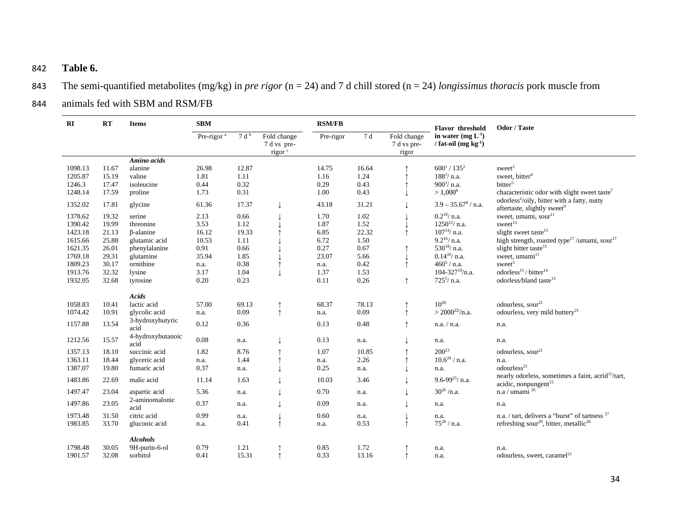## 842 **Table 6.**

- 843 The semi-quantified metabolites (mg/kg) in *pre rigor* (n = 24) and 7 d chill stored (n = 24) *longissimus thoracis* pork muscle from
- 844 animals fed with SBM and RSM/FB

| RI      | RT    | <b>Items</b>              | <b>SBM</b>             |                  |                                                  | <b>RSM/FB</b> |       |                                     | Flavor threshold                             | Odor / Taste                                                                                       |
|---------|-------|---------------------------|------------------------|------------------|--------------------------------------------------|---------------|-------|-------------------------------------|----------------------------------------------|----------------------------------------------------------------------------------------------------|
|         |       |                           | Pre-rigor <sup>a</sup> | 7 d <sup>b</sup> | Fold change<br>7 d vs pre-<br>rigor <sup>c</sup> | Pre-rigor     | 7 d   | Fold change<br>7 d vs pre-<br>rigor | in water $(mg L-1)$<br>/ fat-oil $(mg kg-1)$ |                                                                                                    |
|         |       | Amino acids               |                        |                  |                                                  |               |       |                                     |                                              |                                                                                                    |
| 1098.13 | 11.67 | alanine                   | 26.98                  | 12.87            |                                                  | 14.75         | 16.64 |                                     | $600^1/135^2$                                | $s$ weet $2$                                                                                       |
| 1205.87 | 15.19 | valine                    | 1.81                   | 1.11             |                                                  | 1.16          | 1.24  | ↑                                   | $188^3$ / n.a.                               | sweet, bitter <sup>4</sup>                                                                         |
| 1246.3  | 17.47 | isoleucine                | 0.44                   | 0.32             |                                                  | 0.29          | 0.43  |                                     | $900^{1}/$ n.a.                              | bitter <sup>5</sup>                                                                                |
| 1248.14 | 17.59 | proline                   | 1.73                   | 0.31             |                                                  | 1.00          | 0.43  |                                     | $> 1,000^6$                                  | characteristic odor with slight sweet taste <sup>7</sup>                                           |
| 1352.02 | 17.81 | glycine                   | 61.36                  | 17.37            | $\downarrow$                                     | 43.18         | 31.21 |                                     | $3.9 - 35.678 / n.a.$                        | odorless <sup>2</sup> /oily, bitter with a fatty, nutty<br>aftertaste, slightly sweet <sup>9</sup> |
| 1378.62 | 19.32 | serine                    | 2.13                   | 0.66             |                                                  | 1.70          | 1.02  |                                     | $0.2^{10}/$ n.a.                             | sweet, umami, sour <sup>11</sup>                                                                   |
| 1390.42 | 19.99 | threonine                 | 3.53                   | 1.12             |                                                  | 1.87          | 1.52  |                                     | $1250^{12}$ / n.a.                           | sweet <sup>13</sup>                                                                                |
| 1423.18 | 21.13 | $\beta$ -alanine          | 16.12                  | 19.33            |                                                  | 6.85          | 22.32 | ↑                                   | $107^{14}$ / n.a.                            | slight sweet taste <sup>15</sup>                                                                   |
| 1615.66 | 25.88 | glutamic acid             | 10.53                  | 1.11             |                                                  | 6.72          | 1.50  |                                     | $9.2^{16}/$ n.a.                             | high strength, roasted type <sup>17</sup> /umami, sour <sup>17</sup>                               |
| 1621.35 | 26.01 | phenylalanine             | 0.91                   | 0.66             |                                                  | 0.27          | 0.67  |                                     | $530^{18}/$ n.a.                             | slight bitter taste <sup>15</sup>                                                                  |
| 1769.18 | 29.31 | glutamine                 | 35.94                  | 1.85             |                                                  | 23.07         | 5.66  |                                     | $0.14^{10}$ / n.a.                           | sweet, umami <sup>11</sup>                                                                         |
| 1809.23 | 30.17 | ornithine                 | n.a.                   | 0.38             |                                                  | n.a.          | 0.42  | $\uparrow$                          | $460^5$ / n.a.                               | sweet <sup>5</sup>                                                                                 |
| 1913.76 | 32.32 | lysine                    | 3.17                   | 1.04             | ↓                                                | 1.37          | 1.53  |                                     | $104 - 327^{19}$ /n.a.                       | odorless <sup>15</sup> /bitter <sup>14</sup>                                                       |
| 1932.05 | 32.68 | tyrosine                  | 0.20                   | 0.23             |                                                  | 0.11          | 0.26  | $\uparrow$                          | $725^5/$ n.a.                                | odorless/bland taste <sup>15</sup>                                                                 |
|         |       | Acids                     |                        |                  |                                                  |               |       |                                     |                                              |                                                                                                    |
| 1058.83 | 10.41 | lactic acid               | 57.00                  | 69.13            | $\uparrow$                                       | 68.37         | 78.13 | $\uparrow$                          | $10^{20}$                                    | odourless, sour <sup>21</sup>                                                                      |
| 1074.42 | 10.91 | glycolic acid             | n.a.                   | 0.09             | $\uparrow$                                       | n.a.          | 0.09  | $\uparrow$                          | $> 2000^{22}/n.a.$                           | odourless, very mild buttery <sup>21</sup>                                                         |
| 1157.88 | 13.54 | 3-hydroxybutyric<br>acid  | 0.12                   | 0.36             |                                                  | 0.13          | 0.48  |                                     | n.a. / n.a.                                  | n.a.                                                                                               |
| 1212.56 | 15.57 | 4-hydroxybutanoic<br>acid | $0.08\,$               | n.a.             | ↓                                                | 0.13          | n.a.  |                                     | n.a.                                         | n.a.                                                                                               |
| 1357.13 | 18.10 | succinic acid             | 1.82                   | 8.76             |                                                  | 1.07          | 10.85 |                                     | $200^{23}$                                   | odourless, sour <sup>21</sup>                                                                      |
| 1363.11 | 18.44 | glyceric acid             | n.a.                   | 1.44             | $\uparrow$                                       | n.a.          | 2.26  |                                     | $10.6^{24}$ / n.a.                           | n.a.                                                                                               |
| 1387.07 | 19.80 | fumaric acid              | 0.37                   | n.a.             |                                                  | 0.25          | n.a.  |                                     | n.a.                                         | odourless <sup>21</sup>                                                                            |
| 1483.86 | 22.69 | malic acid                | 11.14                  | 1.63             |                                                  | 10.03         | 3.46  |                                     | 9.6-99 $^{25}$ / n.a.                        | nearly odorless, sometimes a faint, acrid <sup>15</sup> /tart,<br>acidic, nonpungent <sup>15</sup> |
| 1497.47 | 23.04 | aspartic acid             | 5.36                   | n.a.             | ↓                                                | 0.70          | n.a.  |                                     | $30^{26}$ /n.a.                              | n.a / umami $^{26}$                                                                                |
| 1497.86 | 23.05 | 2-aminomalonic<br>acid    | 0.37                   | n.a.             | ↓                                                | 0.09          | n.a.  |                                     | n.a.                                         | n.a.                                                                                               |
| 1973.48 | 31.50 | citric acid               | 0.99                   | n.a.             | ↓                                                | 0.60          | n.a.  |                                     | n.a.                                         | n.a. / tart, delivers a "burst" of tartness <sup>27</sup>                                          |
| 1983.85 | 33.70 | gluconic acid             | n.a.                   | 0.41             | $\uparrow$                                       | n.a.          | 0.53  | ↑                                   | $75^{28}$ / n.a.                             | refreshing sour <sup>29</sup> , bitter, metallic <sup>28</sup>                                     |
|         |       |                           |                        |                  |                                                  |               |       |                                     |                                              |                                                                                                    |
|         |       | <b>Alcohols</b>           |                        |                  |                                                  |               |       |                                     |                                              |                                                                                                    |
| 1798.48 | 30.05 | 9H-purin-6-ol             | 0.79                   | 1.21             |                                                  | 0.85          | 1.72  |                                     | n.a.                                         | n.a.                                                                                               |
| 1901.57 | 32.08 | sorbitol                  | 0.41                   | 15.31            | $\uparrow$                                       | 0.33          | 13.16 |                                     | n.a.                                         | odourless, sweet, caramel <sup>21</sup>                                                            |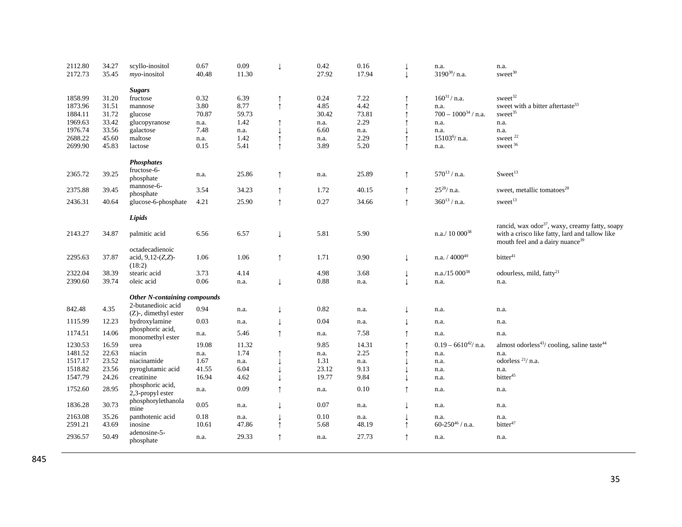| 2112.80 | 34.27 | scyllo-inositol              | 0.67  | 0.09  | T            | 0.42  | 0.16  | $\downarrow$ | n.a.                      | n.a.                                                               |
|---------|-------|------------------------------|-------|-------|--------------|-------|-------|--------------|---------------------------|--------------------------------------------------------------------|
| 2172.73 | 35.45 | $mvo$ -inositol              | 40.48 | 11.30 |              | 27.92 | 17.94 | $\downarrow$ | $3190^{30}$ / n.a.        | sweet <sup>30</sup>                                                |
|         |       |                              |       |       |              |       |       |              |                           |                                                                    |
|         |       | <b>Sugars</b>                |       |       |              |       |       |              |                           |                                                                    |
| 1858.99 | 31.20 | fructose                     | 0.32  | 6.39  | $\uparrow$   | 0.24  | 7.22  |              | $160^{31} / n.a.$         | sweet $32$                                                         |
| 1873.96 | 31.51 | mannose                      | 3.80  | 8.77  | $\uparrow$   | 4.85  | 4.42  |              | n.a.                      | sweet with a bitter aftertaste <sup>33</sup>                       |
| 1884.11 | 31.72 | glucose                      | 70.87 | 59.73 |              | 30.42 | 73.81 |              | $700 - 1000^{34}$ / n.a.  | sweet <sup>35</sup>                                                |
| 1969.63 | 33.42 | glucopyranose                | n.a.  | 1.42  | ↑            | n.a.  | 2.29  |              | n.a.                      | n.a.                                                               |
| 1976.74 | 33.56 | galactose                    | 7.48  | n.a.  | T            | 6.60  | n.a.  |              | n.a.                      | n.a.                                                               |
| 2688.22 | 45.60 | maltose                      | n.a.  | 1.42  | $\uparrow$   | n.a.  | 2.29  |              | 15103 <sup>6</sup> / n.a. | sweet <sup>22</sup>                                                |
| 2699.90 | 45.83 | lactose                      | 0.15  | 5.41  | $\uparrow$   | 3.89  | 5.20  | $\uparrow$   | n.a.                      | sweet <sup>36</sup>                                                |
|         |       |                              |       |       |              |       |       |              |                           |                                                                    |
|         |       | <b>Phosphates</b>            |       |       |              |       |       |              |                           |                                                                    |
| 2365.72 | 39.25 | fructose-6-                  |       | 25.86 |              |       | 25.89 | $\uparrow$   | $570^{13}$ / n.a.         | Sweet <sup>13</sup>                                                |
|         |       | phosphate                    | n.a.  |       | $\uparrow$   | n.a.  |       |              |                           |                                                                    |
|         |       | mannose-6-                   |       |       |              |       |       |              | $25^{28}/$ n.a.           |                                                                    |
| 2375.88 | 39.45 | phosphate                    | 3.54  | 34.23 | $\uparrow$   | 1.72  | 40.15 | $\uparrow$   |                           | sweet, metallic tomatoes <sup>28</sup>                             |
| 2436.31 | 40.64 | glucose-6-phosphate          | 4.21  | 25.90 | $\uparrow$   | 0.27  | 34.66 | $\uparrow$   | $360^{13}$ / n.a.         | sweet <sup>13</sup>                                                |
|         |       |                              |       |       |              |       |       |              |                           |                                                                    |
|         |       | Lipids                       |       |       |              |       |       |              |                           |                                                                    |
|         |       |                              |       |       |              |       |       |              |                           | rancid, wax odor <sup>37</sup> , waxy, creamy fatty, soapy         |
| 2143.27 | 34.87 | palmitic acid                | 6.56  | 6.57  | $\downarrow$ | 5.81  | 5.90  |              | n.a./ $10\ 000^{38}$      | with a crisco like fatty, lard and tallow like                     |
|         |       |                              |       |       |              |       |       |              |                           | mouth feel and a dairy nuance <sup>39</sup>                        |
|         |       | octadecadienoic              |       |       |              |       |       |              |                           |                                                                    |
| 2295.63 | 37.87 | acid, $9,12-(Z,Z)$ -         | 1.06  | 1.06  | $\uparrow$   | 1.71  | 0.90  | J            | n.a. $/4000^{40}$         | bitter <sup>41</sup>                                               |
|         |       | (18:2)                       |       |       |              |       |       |              |                           |                                                                    |
| 2322.04 | 38.39 | stearic acid                 | 3.73  | 4.14  |              | 4.98  | 3.68  |              | $n.a./15000^{38}$         | odourless, mild, fatty <sup>21</sup>                               |
| 2390.60 | 39.74 | oleic acid                   | 0.06  | n.a.  | $\downarrow$ | 0.88  | n.a.  |              | n.a.                      | n.a.                                                               |
|         |       |                              |       |       |              |       |       |              |                           |                                                                    |
|         |       | Other N-containing compounds |       |       |              |       |       |              |                           |                                                                    |
|         |       | 2-butanedioic acid           |       |       |              |       |       |              |                           |                                                                    |
| 842.48  | 4.35  | $(Z)$ -, dimethyl ester      | 0.94  | n.a.  | $\downarrow$ | 0.82  | n.a.  |              | n.a.                      | n.a.                                                               |
| 1115.99 | 12.23 | hydroxylamine                | 0.03  | n.a.  | $\downarrow$ | 0.04  | n.a.  |              | n.a.                      | n.a.                                                               |
|         |       | phosphoric acid,             |       |       |              |       |       |              |                           |                                                                    |
| 1174.51 | 14.06 | monomethyl ester             | n.a.  | 5.46  | $\uparrow$   | n.a.  | 7.58  |              | n.a.                      | n.a.                                                               |
| 1230.53 | 16.59 | urea                         | 19.08 | 11.32 |              | 9.85  | 14.31 |              | $0.19 - 6610^{42} / n.a.$ | almost odorless <sup>43</sup> /cooling, saline taste <sup>44</sup> |
| 1481.52 | 22.63 | niacin                       | n.a.  | 1.74  |              | n.a.  | 2.25  |              | n.a.                      | n.a.                                                               |
| 1517.17 | 23.52 | niacinamide                  | 1.67  | n.a.  |              | 1.31  | n.a.  |              | n.a.                      | odorless <sup>21</sup> / n.a.                                      |
| 1518.82 | 23.56 | pyroglutamic acid            | 41.55 | 6.04  | ↓            | 23.12 | 9.13  |              | n.a.                      | n.a.                                                               |
| 1547.79 | 24.26 | creatinine                   | 16.94 | 4.62  |              | 19.77 | 9.84  |              | n.a.                      | bitter <sup>45</sup>                                               |
|         |       | phosphoric acid,             |       |       |              |       |       |              |                           |                                                                    |
| 1752.60 | 28.95 | 2,3-propyl ester             | n.a.  | 0.09  | $\uparrow$   | n.a.  | 0.10  |              | n.a.                      | n.a.                                                               |
|         |       | phosphorylethanola           |       |       |              |       |       |              |                           |                                                                    |
| 1836.28 | 30.73 | mine                         | 0.05  | n.a.  | $\downarrow$ | 0.07  | n.a.  |              | n.a.                      | n.a.                                                               |
| 2163.08 | 35.26 | panthotenic acid             | 0.18  | n.a.  |              | 0.10  | n.a.  |              | n.a.                      | n.a.                                                               |
| 2591.21 | 43.69 | inosine                      | 10.61 | 47.86 | $\uparrow$   | 5.68  | 48.19 | $\uparrow$   | 60-250 $46/$ n.a.         | bitter <sup>47</sup>                                               |
|         |       | adenosine-5-                 |       |       |              |       |       |              |                           |                                                                    |
| 2936.57 | 50.49 | phosphate                    | n.a.  | 29.33 | ↑            | n.a.  | 27.73 | $\uparrow$   | n.a.                      | n.a.                                                               |
|         |       |                              |       |       |              |       |       |              |                           |                                                                    |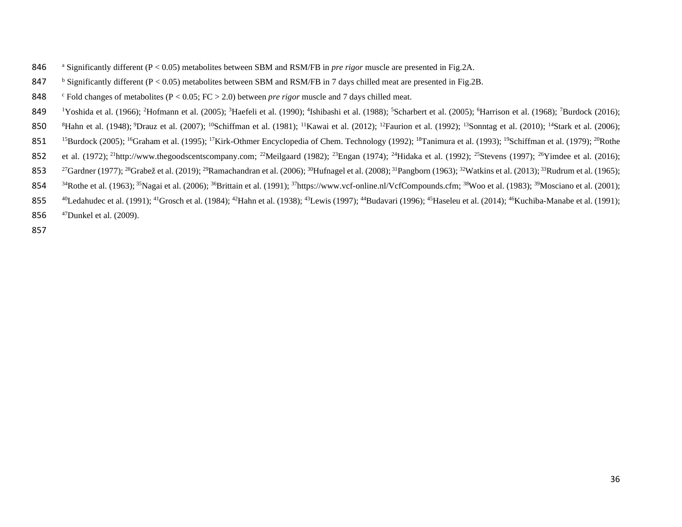- <sup>a</sup> 846 Significantly different (P < 0.05) metabolites between SBM and RSM/FB in *pre rigor* muscle are presented in Fig.2A.
- 847 b Significantly different ( $P < 0.05$ ) metabolites between SBM and RSM/FB in 7 days chilled meat are presented in Fig.2B.
- <sup>c</sup> 848 Fold changes of metabolites (P < 0.05; FC > 2.0) between *pre rigor* muscle and 7 days chilled meat.
- 849 <sup>1</sup>Yoshida et al. (1966); <sup>2</sup>Hofmann et al. (2005); <sup>3</sup>Haefeli et al. (1990); <sup>4</sup>Ishibashi et al. (1988); <sup>5</sup>Scharbert et al. (2005); <sup>6</sup>Harrison et al. (1968); <sup>7</sup>Burdock (2016);
- 850 <sup>8</sup>Hahn et al. (1948); <sup>9</sup>Drauz et al. (2007); <sup>10</sup>Schiffman et al. (1981); <sup>11</sup>Kawai et al. (2012); <sup>12</sup>Faurion et al. (1992); <sup>13</sup>Sonntag et al. (2010); <sup>14</sup>Stark et al. (2006);
- 851 <sup>15</sup>Burdock (2005); <sup>16</sup>Graham et al. (1995); <sup>17</sup>Kirk-Othmer Encyclopedia of Chem. Technology (1992); <sup>18</sup>Tanimura et al. (1993); <sup>19</sup>Schiffman et al. (1979); <sup>20</sup>Rothe
- 852 et al. (1972); <sup>21</sup>[http://www.thegoodscentscompany.com;](http://www.thegoodscentscompany.com/) <sup>22</sup>Meilgaard (1982); <sup>23</sup>Engan (1974); <sup>24</sup>Hidaka et al. (1992); <sup>25</sup>Stevens (1997); <sup>26</sup>Yimdee et al. (2016);
- 853 <sup>27</sup>Gardner (1977); <sup>28</sup>Grabež et al. (2019); <sup>29</sup>Ramachandran et al. (2006); <sup>30</sup>Hufnagel et al. (2008); <sup>31</sup>Pangborn (1963); <sup>32</sup>Watkins et al. (2013); <sup>33</sup>Rudrum et al. (1965);
- 854 <sup>34</sup>Rothe et al. (1963); <sup>35</sup>Nagai et al. (2006); <sup>36</sup>Brittain et al. (1991); <sup>37</sup>[https://www.vcf-online.nl/VcfCompounds.cfm;](https://www.vcf-online.nl/VcfCompounds.cfm) <sup>38</sup>Woo et al. (1983); <sup>39</sup>Mosciano et al. (2001);
- 855 <sup>40</sup>Ledahudec et al. (1991); <sup>41</sup>Grosch et al. (1984); <sup>42</sup>Hahn et al. (1938); <sup>43</sup>Lewis (1997); <sup>44</sup>Budavari (1996); <sup>45</sup>Haseleu et al. (2014); <sup>46</sup>Kuchiba-Manabe et al. (1991);
- 856  $47$ Dunkel et al. (2009).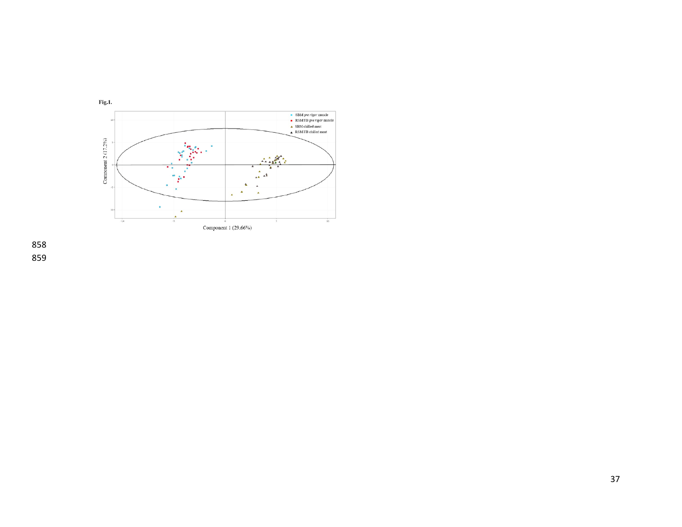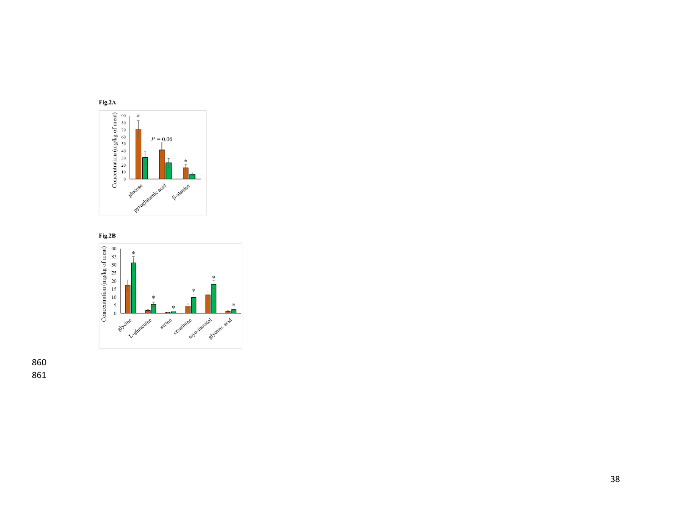

![](_page_37_Figure_1.jpeg)